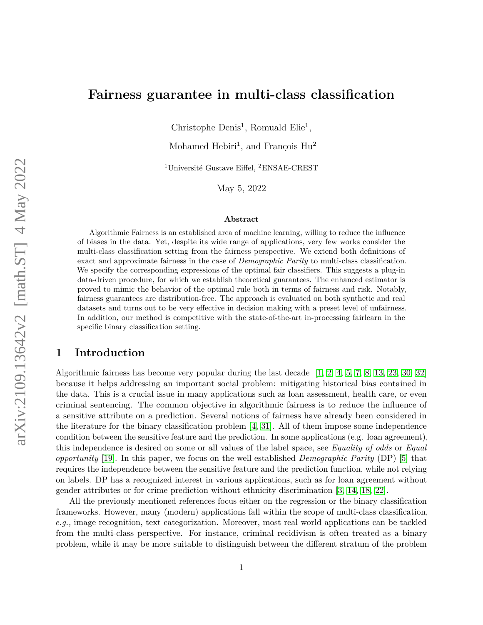# **Fairness guarantee in multi-class classification**

Christophe Denis<sup>1</sup>, Romuald Elie<sup>1</sup>,

Mohamed Hebiri<sup>1</sup>, and François Hu<sup>2</sup>

<sup>1</sup>Université Gustave Eiffel, <sup>2</sup>ENSAE-CREST

May 5, 2022

#### **Abstract**

Algorithmic Fairness is an established area of machine learning, willing to reduce the influence of biases in the data. Yet, despite its wide range of applications, very few works consider the multi-class classification setting from the fairness perspective. We extend both definitions of exact and approximate fairness in the case of *Demographic Parity* to multi-class classification. We specify the corresponding expressions of the optimal fair classifiers. This suggests a plug-in data-driven procedure, for which we establish theoretical guarantees. The enhanced estimator is proved to mimic the behavior of the optimal rule both in terms of fairness and risk. Notably, fairness guarantees are distribution-free. The approach is evaluated on both synthetic and real datasets and turns out to be very effective in decision making with a preset level of unfairness. In addition, our method is competitive with the state-of-the-art in-processing fairlearn in the specific binary classification setting.

## **1 Introduction**

Algorithmic fairness has become very popular during the last decade  $[1, 2, 4, 5, 7, 8, 13, 23, 30, 32]$  $[1, 2, 4, 5, 7, 8, 13, 23, 30, 32]$  $[1, 2, 4, 5, 7, 8, 13, 23, 30, 32]$  $[1, 2, 4, 5, 7, 8, 13, 23, 30, 32]$  $[1, 2, 4, 5, 7, 8, 13, 23, 30, 32]$  $[1, 2, 4, 5, 7, 8, 13, 23, 30, 32]$  $[1, 2, 4, 5, 7, 8, 13, 23, 30, 32]$  $[1, 2, 4, 5, 7, 8, 13, 23, 30, 32]$  $[1, 2, 4, 5, 7, 8, 13, 23, 30, 32]$  $[1, 2, 4, 5, 7, 8, 13, 23, 30, 32]$  $[1, 2, 4, 5, 7, 8, 13, 23, 30, 32]$  $[1, 2, 4, 5, 7, 8, 13, 23, 30, 32]$  $[1, 2, 4, 5, 7, 8, 13, 23, 30, 32]$  $[1, 2, 4, 5, 7, 8, 13, 23, 30, 32]$  $[1, 2, 4, 5, 7, 8, 13, 23, 30, 32]$  $[1, 2, 4, 5, 7, 8, 13, 23, 30, 32]$  $[1, 2, 4, 5, 7, 8, 13, 23, 30, 32]$  $[1, 2, 4, 5, 7, 8, 13, 23, 30, 32]$  $[1, 2, 4, 5, 7, 8, 13, 23, 30, 32]$ because it helps addressing an important social problem: mitigating historical bias contained in the data. This is a crucial issue in many applications such as loan assessment, health care, or even criminal sentencing. The common objective in algorithmic fairness is to reduce the influence of a sensitive attribute on a prediction. Several notions of fairness have already been considered in the literature for the binary classification problem [\[4,](#page-14-2) [31\]](#page-15-3). All of them impose some independence condition between the sensitive feature and the prediction. In some applications (e.g. loan agreement), this independence is desired on some or all values of the label space, see *Equality of odds* or *Equal opportunity* [\[19\]](#page-15-4). In this paper, we focus on the well established *Demographic Parity* (DP) [\[5\]](#page-14-3) that requires the independence between the sensitive feature and the prediction function, while not relying on labels. DP has a recognized interest in various applications, such as for loan agreement without gender attributes or for crime prediction without ethnicity discrimination [\[3,](#page-14-7) [14,](#page-14-8) [18,](#page-15-5) [22\]](#page-15-6).

All the previously mentioned references focus either on the regression or the binary classification frameworks. However, many (modern) applications fall within the scope of multi-class classification, *e.g.,* image recognition, text categorization. Moreover, most real world applications can be tackled from the multi-class perspective. For instance, criminal recidivism is often treated as a binary problem, while it may be more suitable to distinguish between the different stratum of the problem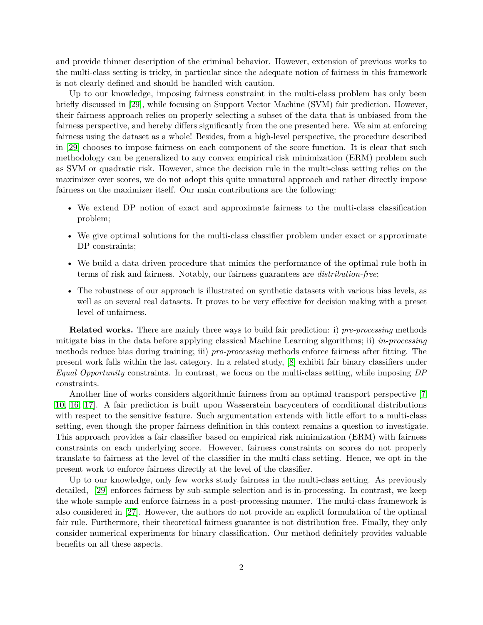and provide thinner description of the criminal behavior. However, extension of previous works to the multi-class setting is tricky, in particular since the adequate notion of fairness in this framework is not clearly defined and should be handled with caution.

Up to our knowledge, imposing fairness constraint in the multi-class problem has only been briefly discussed in [\[29\]](#page-15-7), while focusing on Support Vector Machine (SVM) fair prediction. However, their fairness approach relies on properly selecting a subset of the data that is unbiased from the fairness perspective, and hereby differs significantly from the one presented here. We aim at enforcing fairness using the dataset as a whole! Besides, from a high-level perspective, the procedure described in [\[29\]](#page-15-7) chooses to impose fairness on each component of the score function. It is clear that such methodology can be generalized to any convex empirical risk minimization (ERM) problem such as SVM or quadratic risk. However, since the decision rule in the multi-class setting relies on the maximizer over scores, we do not adopt this quite unnatural approach and rather directly impose fairness on the maximizer itself. Our main contributions are the following:

- We extend DP notion of exact and approximate fairness to the multi-class classification problem;
- We give optimal solutions for the multi-class classifier problem under exact or approximate DP constraints;
- We build a data-driven procedure that mimics the performance of the optimal rule both in terms of risk and fairness. Notably, our fairness guarantees are *distribution-free*;
- The robustness of our approach is illustrated on synthetic datasets with various bias levels, as well as on several real datasets. It proves to be very effective for decision making with a preset level of unfairness.

**Related works.** There are mainly three ways to build fair prediction: i) *pre-processing* methods mitigate bias in the data before applying classical Machine Learning algorithms; ii) *in-processing* methods reduce bias during training; iii) *pro-processing* methods enforce fairness after fitting. The present work falls within the last category. In a related study, [\[8\]](#page-14-5) exhibit fair binary classifiers under *Equal Opportunity* constraints. In contrast, we focus on the multi-class setting, while imposing *DP* constraints.

Another line of works considers algorithmic fairness from an optimal transport perspective [\[7,](#page-14-4) [10,](#page-14-9) [16,](#page-14-10) [17\]](#page-15-8). A fair prediction is built upon Wasserstein barycenters of conditional distributions with respect to the sensitive feature. Such argumentation extends with little effort to a multi-class setting, even though the proper fairness definition in this context remains a question to investigate. This approach provides a fair classifier based on empirical risk minimization (ERM) with fairness constraints on each underlying score. However, fairness constraints on scores do not properly translate to fairness at the level of the classifier in the multi-class setting. Hence, we opt in the present work to enforce fairness directly at the level of the classifier.

Up to our knowledge, only few works study fairness in the multi-class setting. As previously detailed, [\[29\]](#page-15-7) enforces fairness by sub-sample selection and is in-processing. In contrast, we keep the whole sample and enforce fairness in a post-processing manner. The multi-class framework is also considered in [\[27\]](#page-15-9). However, the authors do not provide an explicit formulation of the optimal fair rule. Furthermore, their theoretical fairness guarantee is not distribution free. Finally, they only consider numerical experiments for binary classification. Our method definitely provides valuable benefits on all these aspects.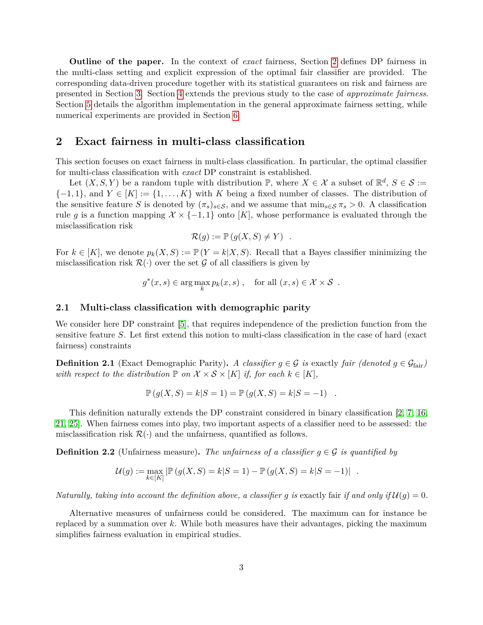**Outline of the paper.** In the context of *exact* fairness, Section [2](#page-2-0) defines DP fairness in the multi-class setting and explicit expression of the optimal fair classifier are provided. The corresponding data-driven procedure together with its statistical guarantees on risk and fairness are presented in Section [3.](#page-4-0) Section [4](#page-6-0) extends the previous study to the case of *approximate fairness*. Section [5](#page-8-0) details the algorithm implementation in the general approximate fairness setting, while numerical experiments are provided in Section [6.](#page-9-0)

### <span id="page-2-0"></span>**2 Exact fairness in multi-class classification**

This section focuses on exact fairness in multi-class classification. In particular, the optimal classifier for multi-class classification with *exact* DP constraint is established.

Let  $(X, S, Y)$  be a random tuple with distribution  $\mathbb{P}$ , where  $X \in \mathcal{X}$  a subset of  $\mathbb{R}^d$ ,  $S \in \mathcal{S} :=$  ${-1, 1}$ , and  $Y \in [K] := {1, \ldots, K}$  with *K* being a fixed number of classes. The distribution of the sensitive feature *S* is denoted by  $(\pi_s)_{s \in \mathcal{S}}$ , and we assume that  $\min_{s \in \mathcal{S}} \pi_s > 0$ . A classification rule g is a function mapping  $\mathcal{X} \times \{-1,1\}$  onto [K], whose performance is evaluated through the misclassification risk

$$
\mathcal{R}(g) := \mathbb{P}\left(g(X, S) \neq Y\right) .
$$

For  $k \in [K]$ , we denote  $p_k(X, S) := \mathbb{P}(Y = k | X, S)$ . Recall that a Bayes classifier minimizing the misclassification risk  $\mathcal{R}(\cdot)$  over the set G of all classifiers is given by

$$
g^*(x, s) \in \arg\max_k p_k(x, s) , \quad \text{for all } (x, s) \in \mathcal{X} \times \mathcal{S} .
$$

#### **2.1 Multi-class classification with demographic parity**

We consider here DP constraint [\[5\]](#page-14-3), that requires independence of the prediction function from the sensitive feature *S*. Let first extend this notion to multi-class classification in the case of hard (exact fairness) constraints

<span id="page-2-1"></span>**Definition 2.1** (Exact Demographic Parity). *A classifier*  $g \in \mathcal{G}$  *is* exactly *fair (denoted*  $g \in \mathcal{G}_{\text{fair}}$ ) *with respect to the distribution*  $\mathbb P$  *on*  $\mathcal X \times \mathcal S \times [K]$  *if, for each*  $k \in [K]$ *,* 

$$
\mathbb{P}(g(X, S) = k|S = 1) = \mathbb{P}(g(X, S) = k|S = -1) .
$$

This definition naturally extends the DP constraint considered in binary classification [\[2,](#page-14-1) [7,](#page-14-4) [16,](#page-14-10) [21,](#page-15-10) [25\]](#page-15-11). When fairness comes into play, two important aspects of a classifier need to be assessed: the misclassification risk  $\mathcal{R}(\cdot)$  and the unfairness, quantified as follows.

<span id="page-2-2"></span>**Definition 2.2** (Unfairness measure). The unfairness of a classifier  $q \in \mathcal{G}$  is quantified by

$$
\mathcal{U}(g) := \max_{k \in [K]} |\mathbb{P}(g(X, S) = k | S = 1) - \mathbb{P}(g(X, S) = k | S = -1)|.
$$

*Naturally, taking into account the definition above, a classifier g is exactly fair if and only if*  $U(g) = 0$ *.* 

Alternative measures of unfairness could be considered. The maximum can for instance be replaced by a summation over *k*. While both measures have their advantages, picking the maximum simplifies fairness evaluation in empirical studies.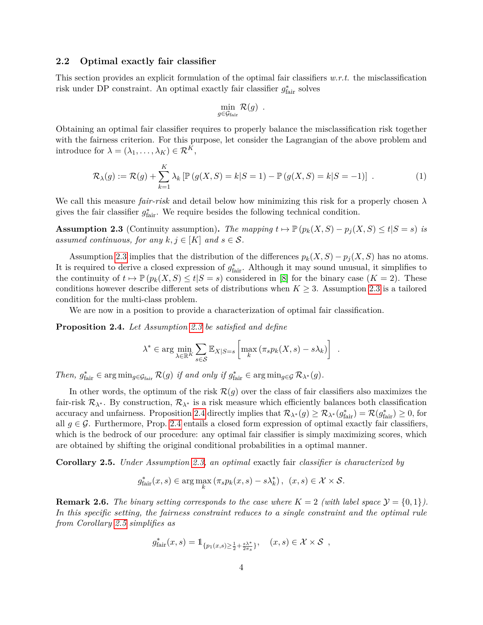#### **2.2 Optimal exactly fair classifier**

This section provides an explicit formulation of the optimal fair classifiers *w.r.t.* the misclassification risk under DP constraint. An optimal exactly fair classifier  $g^*_{\text{fair}}$  solves

$$
\min_{g \in \mathcal{G}_{\text{fair}}} \mathcal{R}(g) \enspace .
$$

Obtaining an optimal fair classifier requires to properly balance the misclassification risk together with the fairness criterion. For this purpose, let consider the Lagrangian of the above problem and introduce for  $\lambda = (\lambda_1, \ldots, \lambda_K) \in \mathcal{R}^K$ ,

$$
\mathcal{R}_{\lambda}(g) := \mathcal{R}(g) + \sum_{k=1}^{K} \lambda_k \left[ \mathbb{P}\left(g(X, S) = k | S = 1\right) - \mathbb{P}\left(g(X, S) = k | S = -1\right) \right]. \tag{1}
$$

We call this measure *fair-risk* and detail below how minimizing this risk for a properly chosen *λ* gives the fair classifier  $g_{\text{fair}}^*$ . We require besides the following technical condition.

<span id="page-3-0"></span>**Assumption 2.3** (Continuity assumption). The mapping  $t \mapsto \mathbb{P}(p_k(X, S) - p_j(X, S) \le t | S = s)$  is *assumed continuous, for any*  $k, j \in [K]$  *and*  $s \in S$ .

Assumption [2.3](#page-3-0) implies that the distribution of the differences  $p_k(X, S) - p_j(X, S)$  has no atoms. It is required to derive a closed expression of  $g_{\text{fair}}^*$ . Although it may sound unusual, it simplifies to the continuity of  $t \mapsto \mathbb{P}(p_k(X, S) \le t | S = s)$  considered in [\[8\]](#page-14-5) for the binary case  $(K = 2)$ . These conditions however describe different sets of distributions when  $K \geq 3$ . Assumption [2.3](#page-3-0) is a tailored condition for the multi-class problem.

We are now in a position to provide a characterization of optimal fair classification.

<span id="page-3-1"></span>**Proposition 2.4.** *Let Assumption [2.3](#page-3-0) be satisfied and define*

$$
\lambda^* \in \arg\min_{\lambda \in \mathbb{R}^K} \sum_{s \in \mathcal{S}} \mathbb{E}_{X|S=s} \left[ \max_k \left( \pi_s p_k(X,s) - s\lambda_k \right) \right] .
$$

*Then,*  $g_{\text{fair}}^* \in \arg \min_{g \in \mathcal{G}_{\text{fair}}} \mathcal{R}(g)$  *if and only if*  $g_{\text{fair}}^* \in \arg \min_{g \in \mathcal{G}} \mathcal{R}_{\lambda^*}(g)$ *.* 

In other words, the optimum of the risk  $\mathcal{R}(g)$  over the class of fair classifiers also maximizes the fair-risk  $\mathcal{R}_{\lambda^*}$ . By construction,  $\mathcal{R}_{\lambda^*}$  is a risk measure which efficiently balances both classification accuracy and unfairness. Proposition [2.4](#page-3-1) directly implies that  $\mathcal{R}_{\lambda^*}(g) \geq \mathcal{R}_{\lambda^*}(g_{\text{fair}}^*) = \mathcal{R}(g_{\text{fair}}^*) \geq 0$ , for all  $g \in \mathcal{G}$ . Furthermore, Prop. [2.4](#page-3-1) entails a closed form expression of optimal exactly fair classifiers, which is the bedrock of our procedure: any optimal fair classifier is simply maximizing scores, which are obtained by shifting the original conditional probabilities in a optimal manner.

<span id="page-3-2"></span>**Corollary 2.5.** *Under Assumption [2.3,](#page-3-0) an optimal* exactly fair *classifier is characterized by*

$$
g_{\text{fair}}^*(x, s) \in \arg\max_k (\pi_s p_k(x, s) - s\lambda_k^*), \ (x, s) \in \mathcal{X} \times \mathcal{S}.
$$

**Remark 2.6.** *The binary setting corresponds to the case where*  $K = 2$  *(with label space*  $\mathcal{Y} = \{0,1\}$ *). In this specific setting, the fairness constraint reduces to a single constraint and the optimal rule from Corollary [2.5](#page-3-2) simplifies as*

$$
g_{\text{fair}}^*(x, s) = \mathbb{1}_{\{p_1(x, s) \ge \frac{1}{2} + \frac{s\lambda^*}{2\pi s}\}}, \quad (x, s) \in \mathcal{X} \times \mathcal{S} \ ,
$$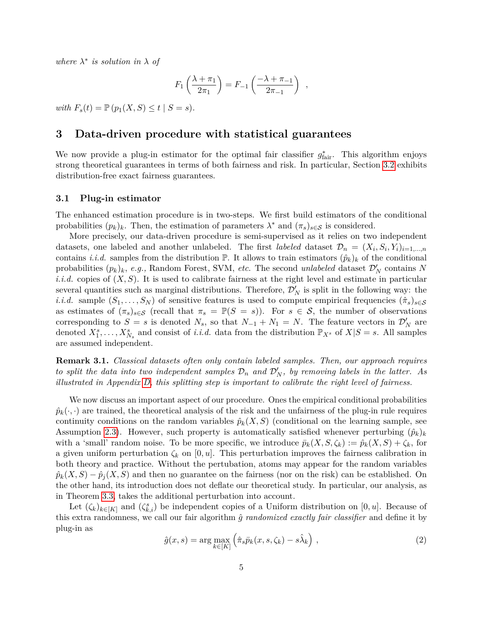where  $\lambda^*$  *is solution in*  $\lambda$  *of* 

$$
F_1\left(\frac{\lambda + \pi_1}{2\pi_1}\right) = F_{-1}\left(\frac{-\lambda + \pi_{-1}}{2\pi_{-1}}\right) ,
$$

*with*  $F_s(t) = \mathbb{P}(p_1(X, S) \le t \mid S = s)$ .

## <span id="page-4-0"></span>**3 Data-driven procedure with statistical guarantees**

We now provide a plug-in estimator for the optimal fair classifier  $g_{\text{fair}}^*$ . This algorithm enjoys strong theoretical guarantees in terms of both fairness and risk. In particular, Section [3.2](#page-5-0) exhibits distribution-free exact fairness guarantees.

#### <span id="page-4-1"></span>**3.1 Plug-in estimator**

The enhanced estimation procedure is in two-steps. We first build estimators of the conditional probabilities  $(p_k)_k$ . Then, the estimation of parameters  $\lambda^*$  and  $(\pi_s)_{s \in \mathcal{S}}$  is considered.

More precisely, our data-driven procedure is semi-supervised as it relies on two independent datasets, one labeled and another unlabeled. The first *labeled* dataset  $\mathcal{D}_n = (X_i, S_i, Y_i)_{i=1,\dots,n}$ contains *i.i.d.* samples from the distribution  $\mathbb{P}$ . It allows to train estimators  $(\hat{p}_k)_k$  of the conditional probabilities  $(p_k)_k$ , *e.g.*, Random Forest, SVM, *etc*. The second *unlabeled* dataset  $\mathcal{D}'_N$  contains N *i.i.d.* copies of  $(X, S)$ . It is used to calibrate fairness at the right level and estimate in particular several quantities such as marginal distributions. Therefore,  $\mathcal{D}'_N$  is split in the following way: the *i.i.d.* sample  $(S_1, \ldots, S_N)$  of sensitive features is used to compute empirical frequencies  $(\hat{\pi}_s)_{s \in \mathcal{S}}$ as estimates of  $(\pi_s)_{s \in \mathcal{S}}$  (recall that  $\pi_s = \mathbb{P}(S = s)$ ). For  $s \in \mathcal{S}$ , the number of observations corresponding to  $S = s$  is denoted  $N_s$ , so that  $N_{-1} + N_1 = N$ . The feature vectors in  $\mathcal{D}'_N$  are denoted  $X_1^s, \ldots, X_{N_s}^s$  and consist of *i.i.d.* data from the distribution  $\mathbb{P}_{X^s}$  of  $X|S=s$ . All samples are assumed independent.

**Remark 3.1.** *Classical datasets often only contain labeled samples. Then, our approach requires to split the data into two independent samples*  $\mathcal{D}_n$  *and*  $\mathcal{D}'_N$ *, by removing labels in the latter. As illustrated in Appendix [D,](#page-25-0) this splitting step is important to calibrate the right level of fairness.*

We now discuss an important aspect of our procedure. Ones the empirical conditional probabilities  $\hat{p}_k(\cdot, \cdot)$  are trained, the theoretical analysis of the risk and the unfairness of the plug-in rule requires continuity conditions on the random variables  $\hat{p}_k(X, S)$  (conditional on the learning sample, see Assumption [2.3\)](#page-3-0). However, such property is automatically satisfied whenever perturbing  $(\hat{p}_k)_k$ with a 'small' random noise. To be more specific, we introduce  $\bar{p}_k(X, S, \zeta_k) := \hat{p}_k(X, S) + \zeta_k$ , for a given uniform perturbation  $\zeta_k$  on [0, *u*]. This perturbation improves the fairness calibration in both theory and practice. Without the pertubation, atoms may appear for the random variables  $\hat{p}_k(X, S) - \hat{p}_j(X, S)$  and then no guarantee on the fairness (nor on the risk) can be established. On the other hand, its introduction does not deflate our theoretical study. In particular, our analysis, as in Theorem [3.3,](#page-5-1) takes the additional perturbation into account.

<span id="page-4-2"></span>Let  $(\zeta_k)_{k \in [K]}$  and  $(\zeta_{k,i}^s)$  be independent copies of a Uniform distribution on [0*, u*]. Because of this extra randomness, we call our fair algorithm *g*ˆ *randomized exactly fair classifier* and define it by plug-in as

$$
\hat{g}(x,s) = \arg\max_{k \in [K]} \left( \hat{\pi}_s \bar{p}_k(x,s,\zeta_k) - s\hat{\lambda}_k \right),\tag{2}
$$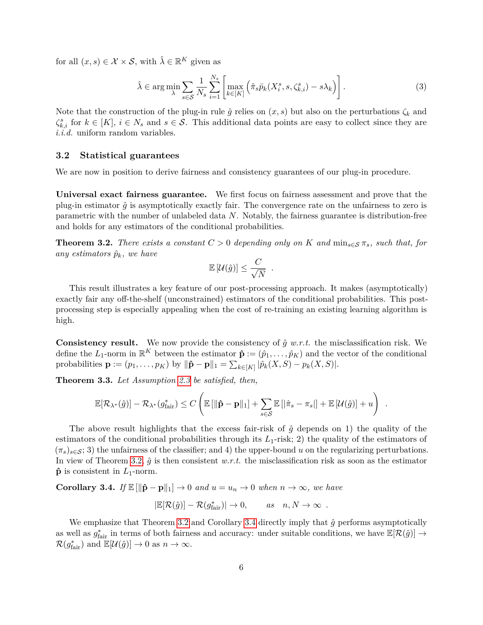for all  $(x, s) \in \mathcal{X} \times \mathcal{S}$ , with  $\hat{\lambda} \in \mathbb{R}^K$  given as

$$
\hat{\lambda} \in \arg\min_{\lambda} \sum_{s \in \mathcal{S}} \frac{1}{N_s} \sum_{i=1}^{N_s} \left[ \max_{k \in [K]} \left( \hat{\pi}_s \bar{p}_k(X_i^s, s, \zeta_{k,i}^s) - s \lambda_k \right) \right]. \tag{3}
$$

Note that the construction of the plug-in rule  $\hat{g}$  relies on  $(x, s)$  but also on the perturbations  $\zeta_k$  and  $\zeta_{k,i}^s$  for  $k \in [K]$ ,  $i \in N_s$  and  $s \in S$ . This additional data points are easy to collect since they are *i.i.d.* uniform random variables.

#### <span id="page-5-0"></span>**3.2 Statistical guarantees**

We are now in position to derive fairness and consistency guarantees of our plug-in procedure.

**Universal exact fairness guarantee.** We first focus on fairness assessment and prove that the plug-in estimator  $\hat{q}$  is asymptotically exactly fair. The convergence rate on the unfairness to zero is parametric with the number of unlabeled data *N*. Notably, the fairness guarantee is distribution-free and holds for any estimators of the conditional probabilities.

<span id="page-5-2"></span>**Theorem 3.2.** *There exists a constant*  $C > 0$  *depending only on*  $K$  *and*  $\min_{s \in S} \pi_s$ *, such that, for any estimators*  $\hat{p}_k$ *, we have* 

$$
\mathbb{E}[\mathcal{U}(\hat{g})] \leq \frac{C}{\sqrt{N}}.
$$

This result illustrates a key feature of our post-processing approach. It makes (asymptotically) exactly fair any off-the-shelf (unconstrained) estimators of the conditional probabilities. This postprocessing step is especially appealing when the cost of re-training an existing learning algorithm is high.

**Consistency result.** We now provide the consistency of  $\hat{g}$  w.r.t. the misclassification risk. We define the  $L_1$ -norm in  $\mathbb{R}^K$  between the estimator  $\hat{\mathbf{p}} := (\hat{p}_1, \dots, \hat{p}_K)$  and the vector of the conditional  $\text{probabilities } \mathbf{p} := (p_1, \dots, p_K) \text{ by } ||\hat{\mathbf{p}} - \mathbf{p}||_1 = \sum_{k \in [K]} |\hat{p}_k(X, S) - p_k(X, S)|.$ 

<span id="page-5-1"></span>**Theorem 3.3.** *Let Assumption [2.3](#page-3-0) be satisfied, then,*

$$
\mathbb{E}[\mathcal{R}_{\lambda^*}(\hat{g})] - \mathcal{R}_{\lambda^*}(g_{\text{fair}}^*) \leq C \left( \mathbb{E}\left[ \|\hat{\mathbf{p}} - \mathbf{p}\|_1\right] + \sum_{s \in \mathcal{S}} \mathbb{E}\left[ \left|\hat{\pi}_s - \pi_s\right| \right] + \mathbb{E}\left[ \mathcal{U}(\hat{g}) \right] + u \right) .
$$

The above result highlights that the excess fair-risk of  $\hat{g}$  depends on 1) the quality of the estimators of the conditional probabilities through its  $L_1$ -risk; 2) the quality of the estimators of  $(\pi_s)_{s \in \mathcal{S}}$ ; 3) the unfairness of the classifier; and 4) the upper-bound *u* on the regularizing perturbations. In view of Theorem [3.2,](#page-5-2)  $\hat{g}$  is then consistent *w.r.t.* the misclassification risk as soon as the estimator  $\hat{\mathbf{p}}$  is consistent in  $L_1$ -norm.

<span id="page-5-3"></span>**Corollary 3.4.** *If*  $\mathbb{E}[\|\hat{\mathbf{p}} - \mathbf{p}\|_1] \to 0$  *and*  $u = u_n \to 0$  *when*  $n \to \infty$ *, we have* 

$$
|\mathbb{E}[\mathcal{R}(\hat{g})] - \mathcal{R}(g_{\text{fair}}^*)| \to 0, \quad \text{as} \quad n, N \to \infty .
$$

We emphasize that Theorem [3.2](#page-5-2) and Corollary [3.4](#page-5-3) directly imply that  $\hat{g}$  performs asymptotically as well as  $g_{\text{fair}}^*$  in terms of both fairness and accuracy: under suitable conditions, we have  $\mathbb{E}[\mathcal{R}(\hat{g})] \to$  $\mathcal{R}(g_{\text{fair}}^*)$  and  $\mathbb{E}[\mathcal{U}(\hat{g})] \to 0$  as  $n \to \infty$ .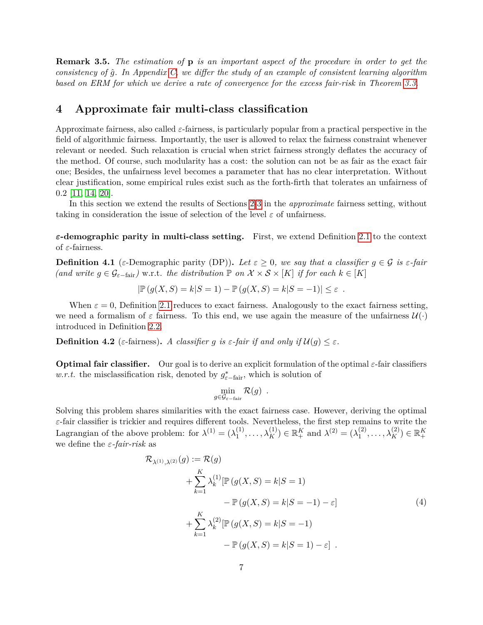**Remark 3.5.** *The estimation of* **p** *is an important aspect of the procedure in order to get the consistency of g*ˆ*. In Appendix [C,](#page-23-0) we differ the study of an example of consistent learning algorithm based on ERM for which we derive a rate of convergence for the excess fair-risk in Theorem [3.3.](#page-5-1)*

## <span id="page-6-0"></span>**4 Approximate fair multi-class classification**

Approximate fairness, also called *ε*-fairness, is particularly popular from a practical perspective in the field of algorithmic fairness. Importantly, the user is allowed to relax the fairness constraint whenever relevant or needed. Such relaxation is crucial when strict fairness strongly deflates the accuracy of the method. Of course, such modularity has a cost: the solution can not be as fair as the exact fair one; Besides, the unfairness level becomes a parameter that has no clear interpretation. Without clear justification, some empirical rules exist such as the forth-firth that tolerates an unfairness of 0*.*2 [\[11,](#page-14-11) [14,](#page-14-8) [20\]](#page-15-12).

In this section we extend the results of Sections [2-](#page-2-0)[3](#page-4-0) in the *approximate* fairness setting, without taking in consideration the issue of selection of the level  $\varepsilon$  of unfairness.

*ε***-demographic parity in multi-class setting.** First, we extend Definition [2.1](#page-2-1) to the context of *ε*-fairness.

**Definition 4.1** (*ε*-Demographic parity (DP)). Let  $\varepsilon \geq 0$ , we say that a classifier  $g \in \mathcal{G}$  is  $\varepsilon$ -fair *(and write*  $g \in \mathcal{G}_{\varepsilon-\text{fair}}$ *)* w.r.t. *the distribution*  $\mathbb{P}$  *on*  $\mathcal{X} \times \mathcal{S} \times [K]$  *if for each*  $k \in [K]$ 

$$
|\mathbb{P}(g(X, S) = k|S = 1) - \mathbb{P}(g(X, S) = k|S = -1)| \le \varepsilon.
$$

When  $\varepsilon = 0$ , Definition [2.1](#page-2-1) reduces to exact fairness. Analogously to the exact fairness setting, we need a formalism of  $\varepsilon$  fairness. To this end, we use again the measure of the unfairness  $\mathcal{U}(\cdot)$ introduced in Definition [2.2.](#page-2-2)

**Definition 4.2** (*ε*-fairness). A classifier *g* is *ε*-fair if and only if  $\mathcal{U}(g) \leq \varepsilon$ .

**Optimal fair classifier.** Our goal is to derive an explicit formulation of the optimal *ε*-fair classifiers *w.r.t.* the misclassification risk, denoted by  $g_{\varepsilon-\text{fair}}^*$ , which is solution of

$$
\min_{g \in \mathcal{G}_{\varepsilon-\text{fair}}} \mathcal{R}(g) \enspace .
$$

Solving this problem shares similarities with the exact fairness case. However, deriving the optimal *ε*-fair classifier is trickier and requires different tools. Nevertheless, the first step remains to write the Lagrangian of the above problem: for  $\lambda^{(1)} = (\lambda_1^{(1)})$  $\lambda_1^{(1)}, \ldots, \lambda_K^{(1)}$   $\in \mathbb{R}_+^K$  and  $\lambda^{(2)} = (\lambda_1^{(2)})^K$  $\lambda_1^{(2)}, \ldots, \lambda_K^{(2)}$ )  $\in \mathbb{R}_+^K$ we define the *ε-fair-risk* as

$$
\mathcal{R}_{\lambda^{(1)},\lambda^{(2)}}(g) := \mathcal{R}(g)
$$
  
+ 
$$
\sum_{k=1}^{K} \lambda_k^{(1)} [\mathbb{P}(g(X, S) = k | S = 1)
$$
  
- 
$$
\mathbb{P}(g(X, S) = k | S = -1) - \varepsilon]
$$
  
+ 
$$
\sum_{k=1}^{K} \lambda_k^{(2)} [\mathbb{P}(g(X, S) = k | S = -1)
$$
  
- 
$$
\mathbb{P}(g(X, S) = k | S = 1) - \varepsilon]
$$
 (4)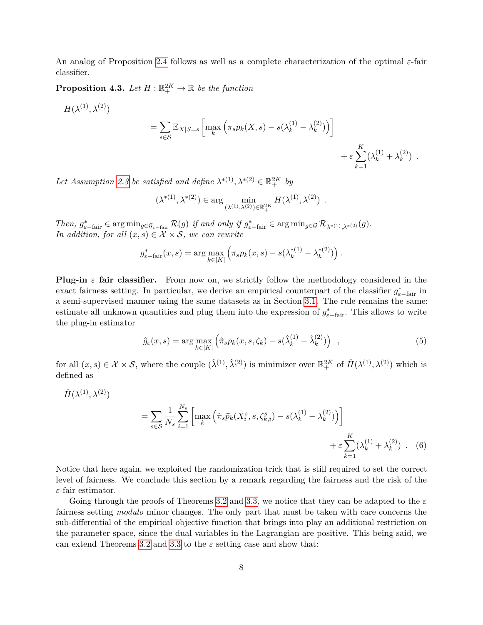An analog of Proposition [2.4](#page-3-1) follows as well as a complete characterization of the optimal *ε*-fair classifier.

<span id="page-7-2"></span>**Proposition 4.3.** Let  $H : \mathbb{R}_+^{2K} \to \mathbb{R}$  be the function

$$
H(\lambda^{(1)},\lambda^{(2)})
$$

$$
= \sum_{s \in \mathcal{S}} \mathbb{E}_{X|S=s} \left[ \max_{k} \left( \pi_s p_k(X,s) - s(\lambda_k^{(1)} - \lambda_k^{(2)}) \right) \right] + \varepsilon \sum_{k=1}^K (\lambda_k^{(1)} + \lambda_k^{(2)}) .
$$

Let Assumption [2.3](#page-3-0) be satisfied and define  $\lambda^{*(1)}, \lambda^{*(2)} \in \mathbb{R}^{2K}_+$  by

$$
(\lambda^{*(1)}, \lambda^{*(2)}) \in \arg \min_{(\lambda^{(1)}, \lambda^{(2)}) \in \mathbb{R}^{2K}_{+}} H(\lambda^{(1)}, \lambda^{(2)}) .
$$

*Then,*  $g_{\varepsilon-\text{fair}}^* \in \arg\min_{g \in \mathcal{G}_{\varepsilon-\text{fair}}} \mathcal{R}(g)$  *if and only if*  $g_{\varepsilon-\text{fair}}^* \in \arg\min_{g \in \mathcal{G}} \mathcal{R}_{\lambda^{*(1)},\lambda^{*(2)}}(g)$ . *In addition, for all*  $(x, s) \in \mathcal{X} \times \mathcal{S}$ *, we can rewrite* 

$$
g_{\varepsilon-\text{fair}}^*(x, s) = \arg \max_{k \in [K]} \left( \pi_s p_k(x, s) - s(\lambda_k^{*(1)} - \lambda_k^{*(2)}) \right).
$$

**Plug-in**  $\varepsilon$  **fair classifier.** From now on, we strictly follow the methodology considered in the exact fairness setting. In particular, we derive an empirical counterpart of the classifier  $g_{\varepsilon-\text{fair}}^*$  in a semi-supervised manner using the same datasets as in Section [3.1.](#page-4-1) The rule remains the same: estimate all unknown quantities and plug them into the expression of  $g_{\varepsilon-\text{fair}}^*$ . This allows to write the plug-in estimator

<span id="page-7-1"></span><span id="page-7-0"></span>
$$
\hat{g}_{\varepsilon}(x,s) = \arg \max_{k \in [K]} \left( \hat{\pi}_s \bar{p}_k(x,s,\zeta_k) - s(\hat{\lambda}_k^{(1)} - \hat{\lambda}_k^{(2)}) \right) , \qquad (5)
$$

for all  $(x, s) \in \mathcal{X} \times \mathcal{S}$ , where the couple  $(\hat{\lambda}^{(1)}, \hat{\lambda}^{(2)})$  is minimizer over  $\mathbb{R}^{2K}_+$  of  $\hat{H}(\lambda^{(1)}, \lambda^{(2)})$  which is defined as

$$
\hat{H}(\lambda^{(1)}, \lambda^{(2)}) = \sum_{s \in \mathcal{S}} \frac{1}{N_s} \sum_{i=1}^{N_s} \left[ \max_k \left( \hat{\pi}_s \bar{p}_k(X_i^s, s, \zeta_{k,i}^s) - s(\lambda_k^{(1)} - \lambda_k^{(2)}) \right) \right] + \varepsilon \sum_{k=1}^K (\lambda_k^{(1)} + \lambda_k^{(2)}) \quad . \tag{6}
$$

Notice that here again, we exploited the randomization trick that is still required to set the correct level of fairness. We conclude this section by a remark regarding the fairness and the risk of the *ε*-fair estimator.

Going through the proofs of Theorems [3.2](#page-5-2) and [3.3,](#page-5-1) we notice that they can be adapted to the *ε* fairness setting *modulo* minor changes. The only part that must be taken with care concerns the sub-differential of the empirical objective function that brings into play an additional restriction on the parameter space, since the dual variables in the Lagrangian are positive. This being said, we can extend Theorems [3.2](#page-5-2) and [3.3](#page-5-1) to the *ε* setting case and show that: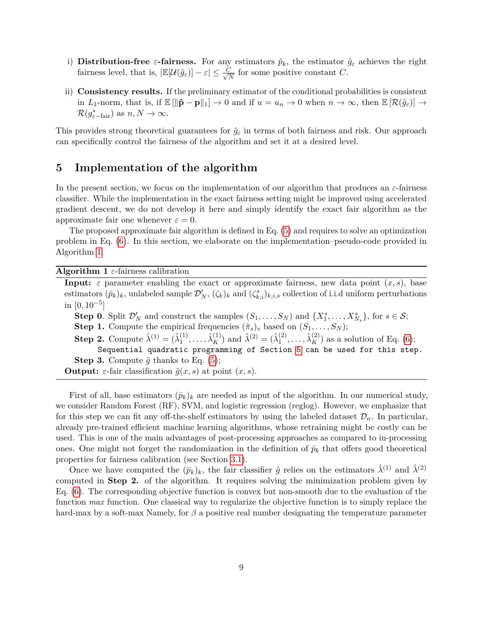- i) **Distribution-free**  $\varepsilon$ -fairness. For any estimators  $\hat{p}_k$ , the estimator  $\hat{g}_{\varepsilon}$  achieves the right fairness level, that is,  $|\mathbb{E}[\mathcal{U}(\hat{g}_{\varepsilon})] - \varepsilon| \leq \frac{C}{\sqrt{\varepsilon}}$  $\frac{Z}{N}$  for some positive constant *C*.
- ii) **Consistency results.** If the preliminary estimator of the conditional probabilities is consistent in *L*<sub>1</sub>-norm, that is, if  $\mathbb{E}[\|\hat{\mathbf{p}} - \mathbf{p}\|_1] \to 0$  and if  $u = u_n \to 0$  when  $n \to \infty$ , then  $\mathbb{E}[\mathcal{R}(\hat{g}_{\varepsilon})] \to$  $\mathcal{R}(g_{\varepsilon-\text{fair}}^*)$  as  $n, N \to \infty$ .

This provides strong theoretical guarantees for  $\hat{g}_{\varepsilon}$  in terms of both fairness and risk. Our approach can specifically control the fairness of the algorithm and set it at a desired level.

## <span id="page-8-0"></span>**5 Implementation of the algorithm**

In the present section, we focus on the implementation of our algorithm that produces an *ε*-fairness classifier. While the implementation in the exact fairness setting might be improved using accelerated gradient descent, we do not develop it here and simply identify the exact fair algorithm as the approximate fair one whenever  $\varepsilon = 0$ .

The proposed approximate fair algorithm is defined in Eq. [\(5\)](#page-7-0) and requires to solve an optimization problem in Eq. [\(6\)](#page-7-1). In this section, we elaborate on the implementation–pseudo-code provided in Algorithm [1.](#page-8-1)

**Algorithm 1** *ε*-fairness calibration

<span id="page-8-1"></span>**Input:**  $\varepsilon$  parameter enabling the exact or approximate fairness, new data point  $(x, s)$ , base estimators  $(\bar{p}_k)_k$ , unlabeled sample  $\mathcal{D}'_N$ ,  $(\zeta_k)_k$  and  $(\zeta^s_{k,i})_{k,i,s}$  collection of i.i.d uniform perturbations  $\text{in } [0, 10^{-5}]$ **Step 0**. Split  $\mathcal{D}'_N$  and construct the samples  $(S_1, \ldots, S_N)$  and  $\{X_1^s, \ldots, X_{N_s}^s\}$ , for  $s \in \mathcal{S}$ ; **Step 1.** Compute the empirical frequencies  $(\hat{\pi}_s)$  based on  $(S_1, \ldots, S_N)$ ; **Step 2.** Compute  $\hat{\lambda}^{(1)} = (\hat{\lambda}^{(1)}_1)$  $\hat{\lambda}_1^{(1)}, \dots, \hat{\lambda}_K^{(1)}$  and  $\hat{\lambda}^{(2)} = (\hat{\lambda}_1^{(2)})$  $\hat{\lambda}_1^{(2)}, \ldots, \hat{\lambda}_K^{(2)}$  as a solution of Eq. [\(6\)](#page-7-1); Sequential quadratic programming of Section [5](#page-8-0) can be used for this step. **Step 3.** Compute  $\hat{g}$  thanks to Eq. [\(5\)](#page-7-0); **Output:**  $\varepsilon$ -fair classification  $\hat{g}(x, s)$  at point  $(x, s)$ .

First of all, base estimators  $(\bar{p}_k)_k$  are needed as input of the algorithm. In our numerical study, we consider Random Forest (RF), SVM, and logistic regression (reglog). However, we emphasize that for this step we can fit any off-the-shelf estimators by using the labeled dataset  $\mathcal{D}_n$ . In particular, already pre-trained efficient machine learning algorithms, whose retraining might be costly can be used. This is one of the main advantages of post-processing approaches as compared to in-processing ones. One might not forget the randomization in the definition of  $\bar{p}_k$  that offers good theoretical properties for fairness calibration (see Section [3.1\)](#page-4-1).

Once we have computed the  $(\bar{p}_k)_k$ , the fair classifier  $\hat{g}$  relies on the estimators  $\hat{\lambda}^{(1)}$  and  $\hat{\lambda}^{(2)}$ computed in **Step 2.** of the algorithm. It requires solving the minimization problem given by Eq. [\(6\)](#page-7-1). The corresponding objective function is convex but non-smooth due to the evaluation of the function *max* function. One classical way to regularize the objective function is to simply replace the hard-max by a soft-max Namely, for *β* a positive real number designating the temperature parameter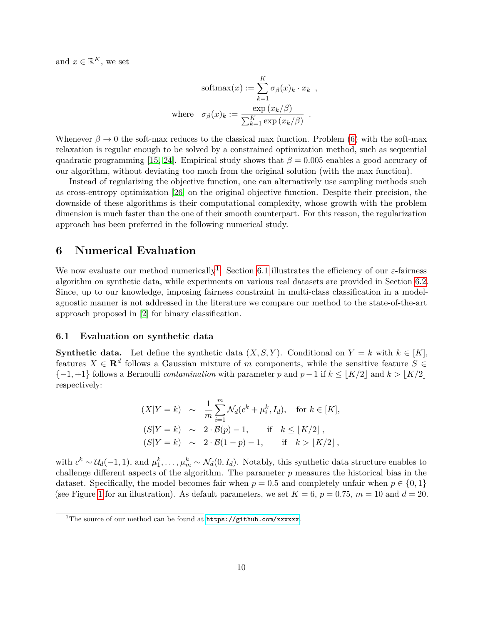and  $x \in \mathbb{R}^K$ , we set

$$
\text{softmax}(x) := \sum_{k=1}^{K} \sigma_{\beta}(x)_{k} \cdot x_{k} ,
$$
\n
$$
\text{where } \sigma_{\beta}(x)_{k} := \frac{\exp(x_{k}/\beta)}{\sum_{k=1}^{K} \exp(x_{k}/\beta)} .
$$

Whenever  $\beta \to 0$  the soft-max reduces to the classical max function. Problem [\(6\)](#page-7-1) with the soft-max relaxation is regular enough to be solved by a constrained optimization method, such as sequential quadratic programming [\[15,](#page-14-12) [24\]](#page-15-13). Empirical study shows that  $\beta = 0.005$  enables a good accuracy of our algorithm, without deviating too much from the original solution (with the max function).

Instead of regularizing the objective function, one can alternatively use sampling methods such as cross-entropy optimization [\[26\]](#page-15-14) on the original objective function. Despite their precision, the downside of these algorithms is their computational complexity, whose growth with the problem dimension is much faster than the one of their smooth counterpart. For this reason, the regularization approach has been preferred in the following numerical study.

## <span id="page-9-0"></span>**6 Numerical Evaluation**

We now evaluate our method numerically<sup>[1](#page-9-1)</sup>. Section [6.1](#page-9-2) illustrates the efficiency of our  $\varepsilon$ -fairness algorithm on synthetic data, while experiments on various real datasets are provided in Section [6.2.](#page-11-0) Since, up to our knowledge, imposing fairness constraint in multi-class classification in a modelagnostic manner is not addressed in the literature we compare our method to the state-of-the-art approach proposed in [\[2\]](#page-14-1) for binary classification.

#### <span id="page-9-2"></span>**6.1 Evaluation on synthetic data**

**Synthetic data.** Let define the synthetic data  $(X, S, Y)$ . Conditional on  $Y = k$  with  $k \in [K]$ , features  $X \in \mathbf{R}^d$  follows a Gaussian mixture of *m* components, while the sensitive feature  $S \in$  ${-1, +1}$  follows a Bernoulli *contamination* with parameter *p* and  $p-1$  if  $k \leq |K/2|$  and  $k > |K/2|$ respectively:

$$
(X|Y = k) \sim \frac{1}{m} \sum_{i=1}^{m} \mathcal{N}_d(c^k + \mu_i^k, I_d), \text{ for } k \in [K],
$$
  
\n
$$
(S|Y = k) \sim 2 \cdot \mathcal{B}(p) - 1, \text{ if } k \leq \lfloor K/2 \rfloor,
$$
  
\n
$$
(S|Y = k) \sim 2 \cdot \mathcal{B}(1 - p) - 1, \text{ if } k > \lfloor K/2 \rfloor,
$$

with  $c^k \sim \mathcal{U}_d(-1,1)$ , and  $\mu_1^k, \ldots, \mu_m^k \sim \mathcal{N}_d(0, I_d)$ . Notably, this synthetic data structure enables to challenge different aspects of the algorithm. The parameter *p* measures the historical bias in the dataset. Specifically, the model becomes fair when  $p = 0.5$  and completely unfair when  $p \in \{0, 1\}$ (see Figure [1](#page-10-0) for an illustration). As default parameters, we set  $K = 6$ ,  $p = 0.75$ ,  $m = 10$  and  $d = 20$ .

<span id="page-9-1"></span><sup>&</sup>lt;sup>1</sup>The source of our method can be found at  $https://github.com/xxxxxx.$  $https://github.com/xxxxxx.$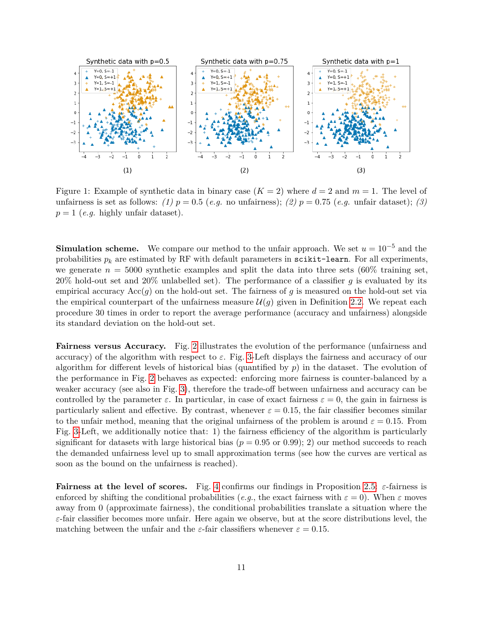

<span id="page-10-0"></span>Figure 1: Example of synthetic data in binary case  $(K = 2)$  where  $d = 2$  and  $m = 1$ . The level of unfairness is set as follows: *(1)*  $p = 0.5$  (*e.g.* no unfairness); *(2)*  $p = 0.75$  (*e.g.* unfair dataset); *(3)*  $p = 1$  (*e.g.* highly unfair dataset).

**Simulation scheme.** We compare our method to the unfair approach. We set  $u = 10^{-5}$  and the probabilities  $p_k$  are estimated by RF with default parameters in scikit-learn. For all experiments, we generate  $n = 5000$  synthetic examples and split the data into three sets  $(60\%$  training set, 20% hold-out set and 20% unlabelled set). The performance of a classifier *g* is evaluated by its empirical accuracy Acc(*g*) on the hold-out set. The fairness of *g* is measured on the hold-out set via the empirical counterpart of the unfairness measure  $\mathcal{U}(g)$  given in Definition [2.2.](#page-2-2) We repeat each procedure 30 times in order to report the average performance (accuracy and unfairness) alongside its standard deviation on the hold-out set.

**Fairness versus Accuracy.** Fig. [2](#page-11-1) illustrates the evolution of the performance (unfairness and accuracy) of the algorithm with respect to *ε*. Fig. [3-](#page-11-2)Left displays the fairness and accuracy of our algorithm for different levels of historical bias (quantified by *p*) in the dataset. The evolution of the performance in Fig. [2](#page-11-1) behaves as expected: enforcing more fairness is counter-balanced by a weaker accuracy (see also in Fig. [3\)](#page-11-2), therefore the trade-off between unfairness and accuracy can be controlled by the parameter  $\varepsilon$ . In particular, in case of exact fairness  $\varepsilon = 0$ , the gain in fairness is particularly salient and effective. By contrast, whenever  $\varepsilon = 0.15$ , the fair classifier becomes similar to the unfair method, meaning that the original unfairness of the problem is around  $\varepsilon = 0.15$ . From Fig. [3-](#page-11-2)Left, we additionally notice that: 1) the fairness efficiency of the algorithm is particularly significant for datasets with large historical bias ( $p = 0.95$  or 0.99); 2) our method succeeds to reach the demanded unfairness level up to small approximation terms (see how the curves are vertical as soon as the bound on the unfairness is reached).

**Fairness at the level of scores.** Fig. [4](#page-11-3) confirms our findings in Proposition [2.5:](#page-3-2) *ε*-fairness is enforced by shifting the conditional probabilities (*e.g.*, the exact fairness with  $\varepsilon = 0$ ). When  $\varepsilon$  moves away from 0 (approximate fairness), the conditional probabilities translate a situation where the *ε*-fair classifier becomes more unfair. Here again we observe, but at the score distributions level, the matching between the unfair and the  $\varepsilon$ -fair classifiers whenever  $\varepsilon = 0.15$ .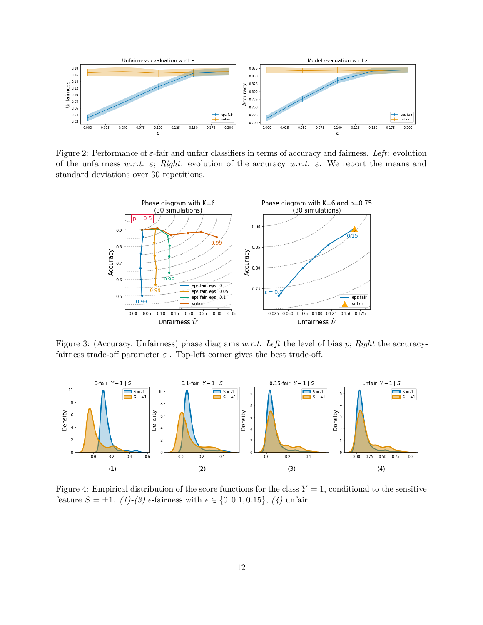

Figure 2: Performance of *ε*-fair and unfair classifiers in terms of accuracy and fairness. *Left*: evolution of the unfairness *w.r.t. ε*; *Right*: evolution of the accuracy *w.r.t. ε*. We report the means and standard deviations over 30 repetitions.

<span id="page-11-2"></span><span id="page-11-1"></span>

Figure 3: (Accuracy, Unfairness) phase diagrams *w.r.t. Left* the level of bias *p*; *Right* the accuracyfairness trade-off parameter  $\varepsilon$ . Top-left corner gives the best trade-off.



<span id="page-11-3"></span><span id="page-11-0"></span>Figure 4: Empirical distribution of the score functions for the class  $Y = 1$ , conditional to the sensitive feature  $S = \pm 1$ . *(1)-(3)*  $\epsilon$ -fairness with  $\epsilon \in \{0, 0.1, 0.15\}$ , *(4)* unfair.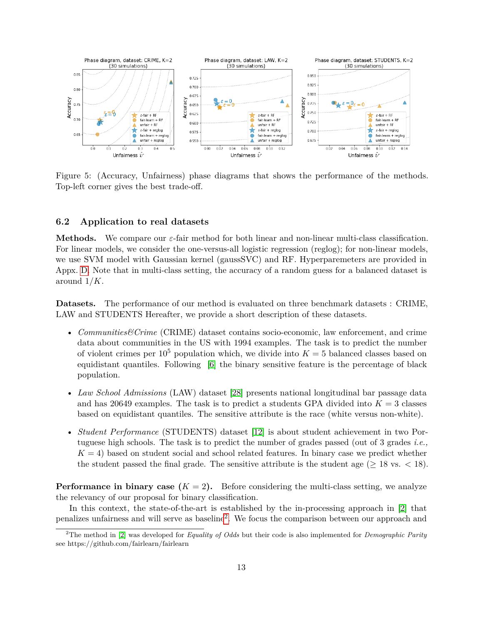

<span id="page-12-1"></span>Figure 5: (Accuracy, Unfairness) phase diagrams that shows the performance of the methods. Top-left corner gives the best trade-off.

#### **6.2 Application to real datasets**

**Methods.** We compare our *ε*-fair method for both linear and non-linear multi-class classification. For linear models, we consider the one-versus-all logistic regression (reglog); for non-linear models, we use SVM model with Gaussian kernel (gaussSVC) and RF. Hyperparemeters are provided in Appx. [D.](#page-25-0) Note that in multi-class setting, the accuracy of a random guess for a balanced dataset is around 1*/K*.

**Datasets.** The performance of our method is evaluated on three benchmark datasets : CRIME, LAW and STUDENTS Hereafter, we provide a short description of these datasets.

- *Communities Crime* (CRIME) dataset contains socio-economic, law enforcement, and crime data about communities in the US with 1994 examples. The task is to predict the number of violent crimes per  $10^5$  population which, we divide into  $K = 5$  balanced classes based on equidistant quantiles. Following [\[6\]](#page-14-13) the binary sensitive feature is the percentage of black population.
- *Law School Admissions* (LAW) dataset [\[28\]](#page-15-15) presents national longitudinal bar passage data and has 20649 examples. The task is to predict a students GPA divided into  $K = 3$  classes based on equidistant quantiles. The sensitive attribute is the race (white versus non-white).
- *Student Performance* (STUDENTS) dataset [\[12\]](#page-14-14) is about student achievement in two Portuguese high schools. The task is to predict the number of grades passed (out of 3 grades *i.e.,*  $K = 4$ ) based on student social and school related features. In binary case we predict whether the student passed the final grade. The sensitive attribute is the student age  $(≥ 18$  vs.  $< 18)$ .

**Performance in binary case**  $(K = 2)$ . Before considering the multi-class setting, we analyze the relevancy of our proposal for binary classification.

In this context, the state-of-the-art is established by the in-processing approach in [\[2\]](#page-14-1) that penalizes unfairness and will serve as baseline<sup>[2](#page-12-0)</sup>. We focus the comparison between our approach and

<span id="page-12-0"></span><sup>2</sup>The method in [\[2\]](#page-14-1) was developed for *Equality of Odds* but their code is also implemented for *Demographic Parity* see https://github.com/fairlearn/fairlearn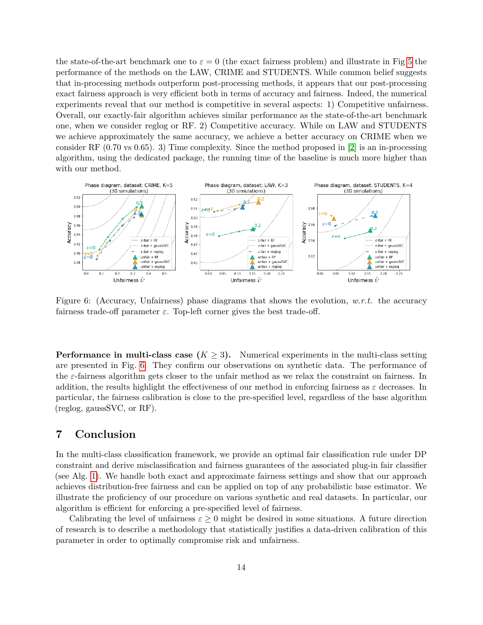the state-of-the-art benchmark one to  $\varepsilon = 0$  (the exact fairness problem) and illustrate in Fig [5](#page-12-1) the performance of the methods on the LAW, CRIME and STUDENTS. While common belief suggests that in-processing methods outperform post-processing methods, it appears that our post-processing exact fairness approach is very efficient both in terms of accuracy and fairness. Indeed, the numerical experiments reveal that our method is competitive in several aspects: 1) Competitive unfairness. Overall, our exactly-fair algorithm achieves similar performance as the state-of-the-art benchmark one, when we consider reglog or RF. 2) Competitive accuracy. While on LAW and STUDENTS we achieve approximately the same accuracy, we achieve a better accuracy on CRIME when we consider RF  $(0.70 \text{ vs } 0.65)$ . 3) Time complexity. Since the method proposed in [\[2\]](#page-14-1) is an in-processing algorithm, using the dedicated package, the running time of the baseline is much more higher than with our method.



<span id="page-13-0"></span>Figure 6: (Accuracy, Unfairness) phase diagrams that shows the evolution, *w.r.t.* the accuracy fairness trade-off parameter  $\varepsilon$ . Top-left corner gives the best trade-off.

**Performance in multi-class case**  $(K \geq 3)$ . Numerical experiments in the multi-class setting are presented in Fig. [6.](#page-13-0) They confirm our observations on synthetic data. The performance of the *ε*-fairness algorithm gets closer to the unfair method as we relax the constraint on fairness. In addition, the results highlight the effectiveness of our method in enforcing fairness as  $\varepsilon$  decreases. In particular, the fairness calibration is close to the pre-specified level, regardless of the base algorithm (reglog, gaussSVC, or RF).

## **7 Conclusion**

In the multi-class classification framework, we provide an optimal fair classification rule under DP constraint and derive misclassification and fairness guarantees of the associated plug-in fair classifier (see Alg. [1\)](#page-8-1). We handle both exact and approximate fairness settings and show that our approach achieves distribution-free fairness and can be applied on top of any probabilistic base estimator. We illustrate the proficiency of our procedure on various synthetic and real datasets. In particular, our algorithm is efficient for enforcing a pre-specified level of fairness.

Calibrating the level of unfairness  $\varepsilon \geq 0$  might be desired in some situations. A future direction of research is to describe a methodology that statistically justifies a data-driven calibration of this parameter in order to optimally compromise risk and unfairness.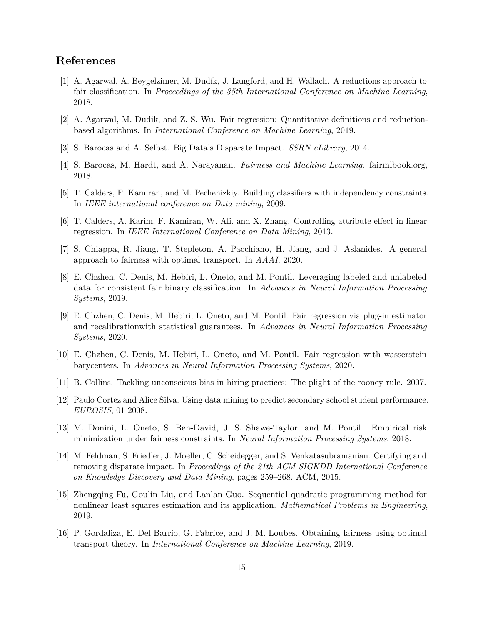## **References**

- <span id="page-14-0"></span>[1] A. Agarwal, A. Beygelzimer, M. Dudík, J. Langford, and H. Wallach. A reductions approach to fair classification. In *Proceedings of the 35th International Conference on Machine Learning*, 2018.
- <span id="page-14-1"></span>[2] A. Agarwal, M. Dudik, and Z. S. Wu. Fair regression: Quantitative definitions and reductionbased algorithms. In *International Conference on Machine Learning*, 2019.
- <span id="page-14-7"></span>[3] S. Barocas and A. Selbst. Big Data's Disparate Impact. *SSRN eLibrary*, 2014.
- <span id="page-14-2"></span>[4] S. Barocas, M. Hardt, and A. Narayanan. *Fairness and Machine Learning*. fairmlbook.org, 2018.
- <span id="page-14-3"></span>[5] T. Calders, F. Kamiran, and M. Pechenizkiy. Building classifiers with independency constraints. In *IEEE international conference on Data mining*, 2009.
- <span id="page-14-13"></span>[6] T. Calders, A. Karim, F. Kamiran, W. Ali, and X. Zhang. Controlling attribute effect in linear regression. In *IEEE International Conference on Data Mining*, 2013.
- <span id="page-14-4"></span>[7] S. Chiappa, R. Jiang, T. Stepleton, A. Pacchiano, H. Jiang, and J. Aslanides. A general approach to fairness with optimal transport. In *AAAI*, 2020.
- <span id="page-14-5"></span>[8] E. Chzhen, C. Denis, M. Hebiri, L. Oneto, and M. Pontil. Leveraging labeled and unlabeled data for consistent fair binary classification. In *Advances in Neural Information Processing Systems*, 2019.
- <span id="page-14-15"></span>[9] E. Chzhen, C. Denis, M. Hebiri, L. Oneto, and M. Pontil. Fair regression via plug-in estimator and recalibrationwith statistical guarantees. In *Advances in Neural Information Processing Systems*, 2020.
- <span id="page-14-9"></span>[10] E. Chzhen, C. Denis, M. Hebiri, L. Oneto, and M. Pontil. Fair regression with wasserstein barycenters. In *Advances in Neural Information Processing Systems*, 2020.
- <span id="page-14-11"></span>[11] B. Collins. Tackling unconscious bias in hiring practices: The plight of the rooney rule. 2007.
- <span id="page-14-14"></span>[12] Paulo Cortez and Alice Silva. Using data mining to predict secondary school student performance. *EUROSIS*, 01 2008.
- <span id="page-14-6"></span>[13] M. Donini, L. Oneto, S. Ben-David, J. S. Shawe-Taylor, and M. Pontil. Empirical risk minimization under fairness constraints. In *Neural Information Processing Systems*, 2018.
- <span id="page-14-8"></span>[14] M. Feldman, S. Friedler, J. Moeller, C. Scheidegger, and S. Venkatasubramanian. Certifying and removing disparate impact. In *Proceedings of the 21th ACM SIGKDD International Conference on Knowledge Discovery and Data Mining*, pages 259–268. ACM, 2015.
- <span id="page-14-12"></span>[15] Zhengqing Fu, Goulin Liu, and Lanlan Guo. Sequential quadratic programming method for nonlinear least squares estimation and its application. *Mathematical Problems in Engineering*, 2019.
- <span id="page-14-10"></span>[16] P. Gordaliza, E. Del Barrio, G. Fabrice, and J. M. Loubes. Obtaining fairness using optimal transport theory. In *International Conference on Machine Learning*, 2019.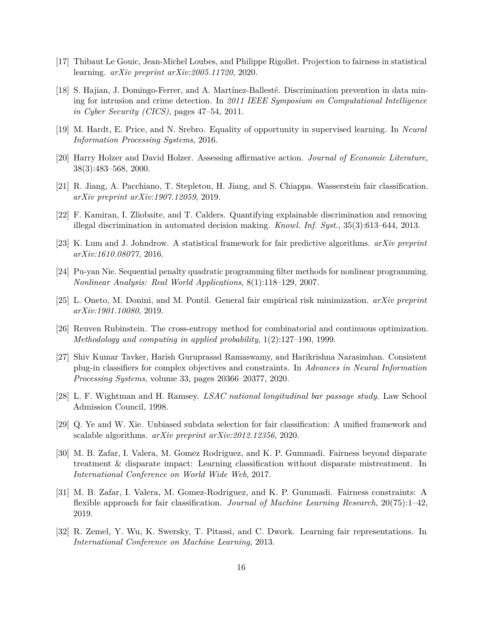- <span id="page-15-8"></span>[17] Thibaut Le Gouic, Jean-Michel Loubes, and Philippe Rigollet. Projection to fairness in statistical learning. *arXiv preprint arXiv:2005.11720*, 2020.
- <span id="page-15-5"></span>[18] S. Hajian, J. Domingo-Ferrer, and A. Martínez-Ballesté. Discrimination prevention in data mining for intrusion and crime detection. In *2011 IEEE Symposium on Computational Intelligence in Cyber Security (CICS)*, pages 47–54, 2011.
- <span id="page-15-4"></span>[19] M. Hardt, E. Price, and N. Srebro. Equality of opportunity in supervised learning. In *Neural Information Processing Systems*, 2016.
- <span id="page-15-12"></span>[20] Harry Holzer and David Holzer. Assessing affirmative action. *Journal of Economic Literature*, 38(3):483–568, 2000.
- <span id="page-15-10"></span>[21] R. Jiang, A. Pacchiano, T. Stepleton, H. Jiang, and S. Chiappa. Wasserstein fair classification. *arXiv preprint arXiv:1907.12059*, 2019.
- <span id="page-15-6"></span>[22] F. Kamiran, I. Zliobaite, and T. Calders. Quantifying explainable discrimination and removing illegal discrimination in automated decision making. *Knowl. Inf. Syst.*, 35(3):613–644, 2013.
- <span id="page-15-0"></span>[23] K. Lum and J. Johndrow. A statistical framework for fair predictive algorithms. *arXiv preprint arXiv:1610.08077*, 2016.
- <span id="page-15-13"></span>[24] Pu-yan Nie. Sequential penalty quadratic programming filter methods for nonlinear programming. *Nonlinear Analysis: Real World Applications*, 8(1):118–129, 2007.
- <span id="page-15-11"></span>[25] L. Oneto, M. Donini, and M. Pontil. General fair empirical risk minimization. *arXiv preprint arXiv:1901.10080*, 2019.
- <span id="page-15-14"></span>[26] Reuven Rubinstein. The cross-entropy method for combinatorial and continuous optimization. *Methodology and computing in applied probability*, 1(2):127–190, 1999.
- <span id="page-15-9"></span>[27] Shiv Kumar Tavker, Harish Guruprasad Ramaswamy, and Harikrishna Narasimhan. Consistent plug-in classifiers for complex objectives and constraints. In *Advances in Neural Information Processing Systems*, volume 33, pages 20366–20377, 2020.
- <span id="page-15-15"></span>[28] L. F. Wightman and H. Ramsey. *LSAC national longitudinal bar passage study*. Law School Admission Council, 1998.
- <span id="page-15-7"></span>[29] Q. Ye and W. Xie. Unbiased subdata selection for fair classification: A unified framework and scalable algorithms. *arXiv preprint arXiv:2012.12356*, 2020.
- <span id="page-15-1"></span>[30] M. B. Zafar, I. Valera, M. Gomez Rodriguez, and K. P. Gummadi. Fairness beyond disparate treatment & disparate impact: Learning classification without disparate mistreatment. In *International Conference on World Wide Web*, 2017.
- <span id="page-15-3"></span>[31] M. B. Zafar, I. Valera, M. Gomez-Rodriguez, and K. P. Gummadi. Fairness constraints: A flexible approach for fair classification. *Journal of Machine Learning Research*, 20(75):1–42, 2019.
- <span id="page-15-2"></span>[32] R. Zemel, Y. Wu, K. Swersky, T. Pitassi, and C. Dwork. Learning fair representations. In *International Conference on Machine Learning*, 2013.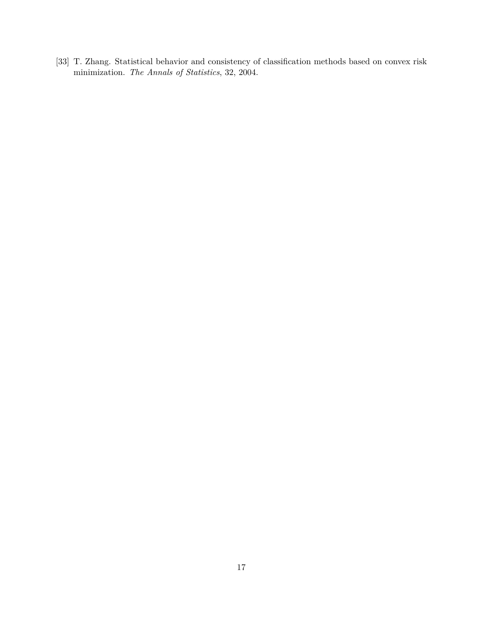<span id="page-16-0"></span>[33] T. Zhang. Statistical behavior and consistency of classification methods based on convex risk minimization. *The Annals of Statistics*, 32, 2004.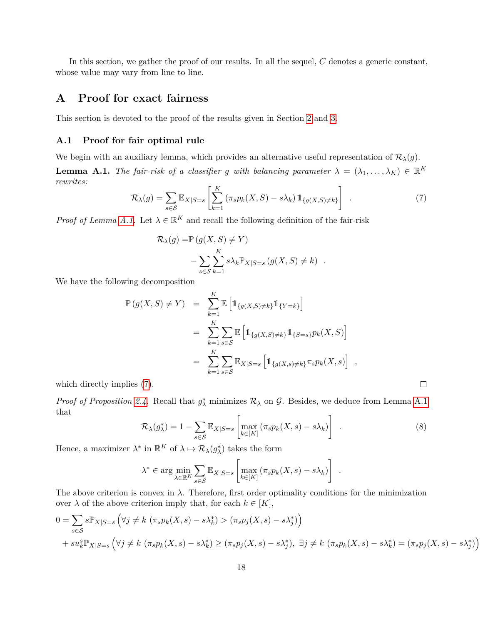In this section, we gather the proof of our results. In all the sequel, *C* denotes a generic constant, whose value may vary from line to line.

## **A Proof for exact fairness**

This section is devoted to the proof of the results given in Section [2](#page-2-0) and [3.](#page-4-0)

#### **A.1 Proof for fair optimal rule**

We begin with an auxiliary lemma, which provides an alternative useful representation of  $\mathcal{R}_{\lambda}(g)$ .

<span id="page-17-1"></span><span id="page-17-0"></span>**Lemma A.1.** *The fair-risk of a classifier g with balancing parameter*  $\lambda = (\lambda_1, \dots, \lambda_K) \in \mathbb{R}^K$ *rewrites:*

$$
\mathcal{R}_{\lambda}(g) = \sum_{s \in \mathcal{S}} \mathbb{E}_{X|S=s} \left[ \sum_{k=1}^{K} \left( \pi_s p_k(X, S) - s \lambda_k \right) \mathbb{1}_{\{g(X, S) \neq k\}} \right] \tag{7}
$$

*Proof of Lemma [A.1.](#page-17-0)* Let  $\lambda \in \mathbb{R}^K$  and recall the following definition of the fair-risk

$$
\mathcal{R}_{\lambda}(g) = \mathbb{P}(g(X, S) \neq Y)
$$

$$
- \sum_{s \in S} \sum_{k=1}^{K} s \lambda_k \mathbb{P}_{X|S=s} (g(X, S) \neq k) .
$$

We have the following decomposition

$$
\mathbb{P}(g(X, S) \neq Y) = \sum_{k=1}^{K} \mathbb{E} \left[ \mathbb{1}_{\{g(X, S) \neq k\}} \mathbb{1}_{\{Y = k\}} \right]
$$
  
\n
$$
= \sum_{k=1}^{K} \sum_{s \in S} \mathbb{E} \left[ \mathbb{1}_{\{g(X, S) \neq k\}} \mathbb{1}_{\{S = s\}} p_k(X, S) \right]
$$
  
\n
$$
= \sum_{k=1}^{K} \sum_{s \in S} \mathbb{E}_{X|S=s} \left[ \mathbb{1}_{\{g(X, s) \neq k\}} \pi_s p_k(X, s) \right],
$$
  
\nplies (7).

which directly implies [\(7\)](#page-17-1).

<span id="page-17-2"></span>*Proof of Proposition [2.4.](#page-3-1)* Recall that  $g^*_{\lambda}$  minimizes  $\mathcal{R}_{\lambda}$  on  $\mathcal{G}$ . Besides, we deduce from Lemma [A.1](#page-17-0) that

$$
\mathcal{R}_{\lambda}(g_{\lambda}^{*}) = 1 - \sum_{s \in \mathcal{S}} \mathbb{E}_{X|S=s} \left[ \max_{k \in [K]} \left( \pi_{s} p_{k}(X, s) - s \lambda_{k} \right) \right] \tag{8}
$$

Hence, a maximizer  $\lambda^*$  in  $\mathbb{R}^K$  of  $\lambda \mapsto \mathcal{R}_{\lambda}(g_{\lambda}^*)$  takes the form

$$
\lambda^* \in \arg\min_{\lambda \in \mathbb{R}^K} \sum_{s \in \mathcal{S}} \mathbb{E}_{X|S=s} \left[ \max_{k \in [K]} \left( \pi_s p_k(X, s) - s \lambda_k \right) \right] .
$$

The above criterion is convex in  $\lambda$ . Therefore, first order optimality conditions for the minimization over  $\lambda$  of the above criterion imply that, for each  $k \in [K]$ ,

$$
0 = \sum_{s \in S} s \mathbb{P}_{X|S=s} \left( \forall j \neq k \left( \pi_s p_k(X, s) - s \lambda_k^* \right) > (\pi_s p_j(X, s) - s \lambda_j^*) \right)
$$
  
+ 
$$
s u_k^s \mathbb{P}_{X|S=s} \left( \forall j \neq k \left( \pi_s p_k(X, s) - s \lambda_k^* \right) \geq (\pi_s p_j(X, s) - s \lambda_j^*), \exists j \neq k \left( \pi_s p_k(X, s) - s \lambda_k^* \right) = (\pi_s p_j(X, s) - s \lambda_j^*)
$$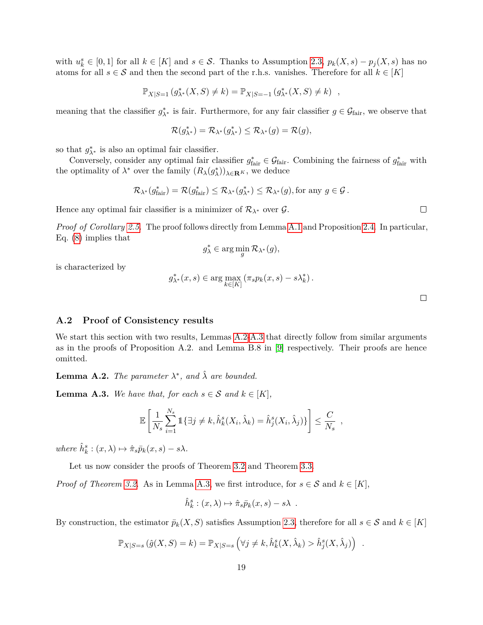with  $u_k^s \in [0,1]$  for all  $k \in [K]$  and  $s \in \mathcal{S}$ . Thanks to Assumption [2.3,](#page-3-0)  $p_k(X,s) - p_j(X,s)$  has no atoms for all  $s \in \mathcal{S}$  and then the second part of the r.h.s. vanishes. Therefore for all  $k \in [K]$ 

$$
\mathbb{P}_{X|S=1} (g_{\lambda^*}^*(X, S) \neq k) = \mathbb{P}_{X|S=-1} (g_{\lambda^*}^*(X, S) \neq k) ,
$$

meaning that the classifier  $g_{\lambda^*}^*$  is fair. Furthermore, for any fair classifier  $g \in \mathcal{G}_{\text{fair}}$ , we observe that

$$
\mathcal{R}(g_{\lambda^*}^*) = \mathcal{R}_{\lambda^*}(g_{\lambda^*}^*) \leq \mathcal{R}_{\lambda^*}(g) = \mathcal{R}(g),
$$

so that  $g_{\lambda^*}^*$  is also an optimal fair classifier.

Conversely, consider any optimal fair classifier  $g_{\text{fair}}^* \in \mathcal{G}_{\text{fair}}$ . Combining the fairness of  $g_{\text{fair}}^*$  with the optimality of  $\lambda^*$  over the family  $(R_\lambda(g_\lambda^*))_{\lambda \in \mathbf{R}^K}$ , we deduce

$$
\mathcal{R}_{\lambda^*}(g_{\textup{fair}}^*) = \mathcal{R}(g_{\textup{fair}}^*) \leq \mathcal{R}_{\lambda^*}(g_{\lambda^*}^*) \leq \mathcal{R}_{\lambda^*}(g), \text{for any } g \in \mathcal{G}.
$$

Hence any optimal fair classifier is a minimizer of  $\mathcal{R}_{\lambda^*}$  over  $\mathcal{G}$ .

*Proof of Corollary [2.5.](#page-3-2)* The proof follows directly from Lemma [A.1](#page-17-0) and Proposition [2.4.](#page-3-1) In particular, Eq. [\(8\)](#page-17-2) implies that

$$
g_{\lambda}^* \in \arg\min_g \mathcal{R}_{\lambda^*}(g),
$$

is characterized by

$$
g_{\lambda^*}^*(x, s) \in \arg\max_{k \in [K]} \left( \pi_s p_k(x, s) - s \lambda_k^* \right).
$$

 $\Box$ 

 $\Box$ 

#### **A.2 Proof of Consistency results**

We start this section with two results, Lemmas [A.2-](#page-18-0)[A.3](#page-18-1) that directly follow from similar arguments as in the proofs of Proposition A.2. and Lemma B.8 in [\[9\]](#page-14-15) respectively. Their proofs are hence omitted.

<span id="page-18-0"></span>**Lemma A.2.** *The parameter*  $\lambda^*$ *, and*  $\hat{\lambda}$  *are bounded.* 

<span id="page-18-1"></span>**Lemma A.3.** *We have that, for each*  $s \in S$  *and*  $k \in [K]$ *,* 

$$
\mathbb{E}\left[\frac{1}{N_s}\sum_{i=1}^{N_s}\mathbb{1}\{\exists j\neq k,\hat{h}_k^s(X_i,\hat{\lambda}_k)=\hat{h}_j^s(X_i,\hat{\lambda}_j)\}\right]\leq \frac{C}{N_s},
$$

 $where \hat{h}_k^s : (x, \lambda) \mapsto \hat{\pi}_s \overline{p}_k(x, s) - s\lambda.$ 

Let us now consider the proofs of Theorem [3.2](#page-5-2) and Theorem [3.3.](#page-5-1)

*Proof of Theorem [3.2.](#page-5-2)* As in Lemma [A.3,](#page-18-1) we first introduce, for  $s \in S$  and  $k \in [K]$ ,

$$
\hat{h}_k^s : (x, \lambda) \mapsto \hat{\pi}_s \bar{p}_k(x, s) - s\lambda .
$$

By construction, the estimator  $\bar{p}_k(X, S)$  satisfies Assumption [2.3,](#page-3-0) therefore for all  $s \in S$  and  $k \in [K]$ 

$$
\mathbb{P}_{X|S=s}(\hat{g}(X,S)=k)=\mathbb{P}_{X|S=s}\left(\forall j\neq k,\hat{h}_k^s(X,\hat{\lambda}_k)>\hat{h}_j^s(X,\hat{\lambda}_j)\right).
$$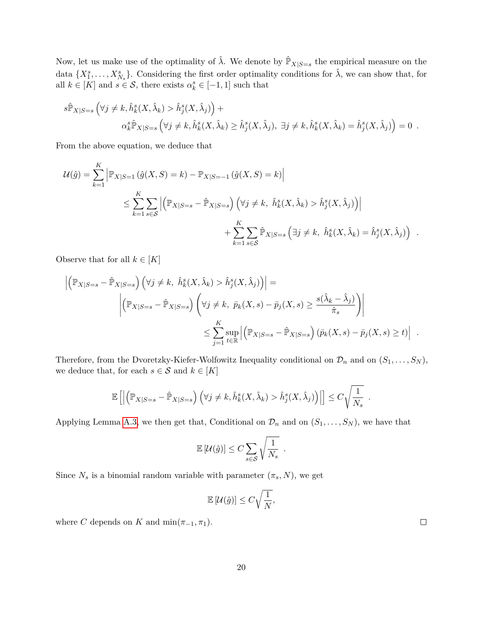Now, let us make use of the optimality of  $\hat{\lambda}$ . We denote by  $\hat{\mathbb{P}}_{X|S=s}$  the empirical measure on the data  $\{X_1^s, \ldots, X_{N_s}^s\}$ . Considering the first order optimality conditions for  $\hat{\lambda}$ , we can show that, for all  $k \in [K]$  and  $s \in S$ , there exists  $\alpha_k^s \in [-1, 1]$  such that

$$
s\hat{\mathbb{P}}_{X|S=s} \left( \forall j \neq k, \hat{h}_k^s(X, \hat{\lambda}_k) > \hat{h}_j^s(X, \hat{\lambda}_j) \right) +
$$
  

$$
\alpha_k^s \hat{\mathbb{P}}_{X|S=s} \left( \forall j \neq k, \hat{h}_k^s(X, \hat{\lambda}_k) \geq \hat{h}_j^s(X, \hat{\lambda}_j), \exists j \neq k, \hat{h}_k^s(X, \hat{\lambda}_k) = \hat{h}_j^s(X, \hat{\lambda}_j) \right) = 0.
$$

From the above equation, we deduce that

$$
\mathcal{U}(\hat{g}) = \sum_{k=1}^{K} \left| \mathbb{P}_{X|S=1} \left( \hat{g}(X, S) = k \right) - \mathbb{P}_{X|S=-1} \left( \hat{g}(X, S) = k \right) \right|
$$
  

$$
\leq \sum_{k=1}^{K} \sum_{s \in S} \left| \left( \mathbb{P}_{X|S=s} - \hat{\mathbb{P}}_{X|S=s} \right) \left( \forall j \neq k, \ \hat{h}_k^s(X, \hat{\lambda}_k) > \hat{h}_j^s(X, \hat{\lambda}_j) \right) \right|
$$
  

$$
+ \sum_{k=1}^{K} \sum_{s \in S} \hat{\mathbb{P}}_{X|S=s} \left( \exists j \neq k, \ \hat{h}_k^s(X, \hat{\lambda}_k) = \hat{h}_j^s(X, \hat{\lambda}_j) \right) .
$$

Observe that for all  $k \in [K]$ 

$$
\left| \left( \mathbb{P}_{X|S=s} - \hat{\mathbb{P}}_{X|S=s} \right) \left( \forall j \neq k, \ \hat{h}_k^s(X, \hat{\lambda}_k) > \hat{h}_j^s(X, \hat{\lambda}_j) \right) \right| =
$$
\n
$$
\left| \left( \mathbb{P}_{X|S=s} - \hat{\mathbb{P}}_{X|S=s} \right) \left( \forall j \neq k, \ \bar{p}_k(X,s) - \bar{p}_j(X,s) \ge \frac{s(\hat{\lambda}_k - \hat{\lambda}_j)}{\hat{\pi}_s} \right) \right|
$$
\n
$$
\le \sum_{j=1}^K \sup_{t \in \mathbb{R}} \left| \left( \mathbb{P}_{X|S=s} - \hat{\mathbb{P}}_{X|S=s} \right) (\bar{p}_k(X,s) - \bar{p}_j(X,s) \ge t) \right| .
$$

Therefore, from the Dvoretzky-Kiefer-Wolfowitz Inequality conditional on  $\mathcal{D}_n$  and on  $(S_1, \ldots, S_N)$ , we deduce that, for each  $s \in \mathcal{S}$  and  $k \in [K]$ 

$$
\mathbb{E}\left[\left|\left(\mathbb{P}_{X|S=s}-\hat{\mathbb{P}}_{X|S=s}\right)\left(\forall j\neq k,\hat{h}_k^s(X,\hat{\lambda}_k)>\hat{h}_j^s(X,\hat{\lambda}_j)\right)\right|\right]\leq C\sqrt{\frac{1}{N_s}}.
$$

Applying Lemma [A.3,](#page-18-1) we then get that, Conditional on  $\mathcal{D}_n$  and on  $(S_1, \ldots, S_N)$ , we have that

$$
\mathbb{E}[\mathcal{U}(\hat{g})] \leq C \sum_{s \in \mathcal{S}} \sqrt{\frac{1}{N_s}}.
$$

Since  $N_s$  is a binomial random variable with parameter  $(\pi_s, N)$ , we get

$$
\mathbb{E}\left[\mathcal{U}(\hat{g})\right] \leq C\sqrt{\frac{1}{N}},
$$

where *C* depends on *K* and  $\min(\pi_{-1}, \pi_1)$ .

20

 $\Box$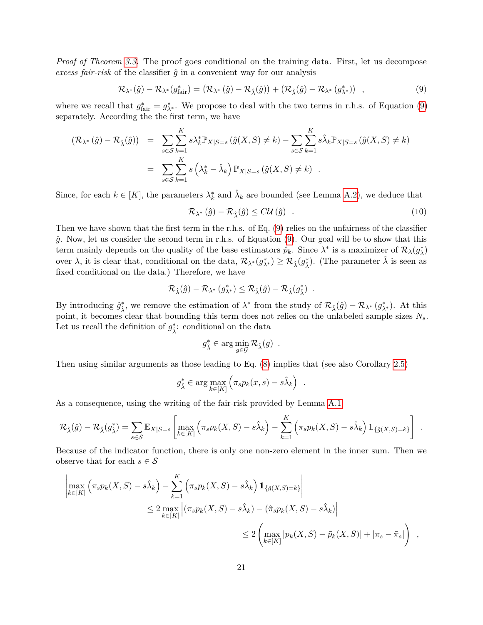*Proof of Theorem [3.3.](#page-5-1)* The proof goes conditional on the training data. First, let us decompose *excess fair-risk* of the classifier  $\hat{g}$  in a convenient way for our analysis

$$
\mathcal{R}_{\lambda^*}(\hat{g}) - \mathcal{R}_{\lambda^*}(g_{\text{fair}}^*) = (\mathcal{R}_{\lambda^*}(\hat{g}) - \mathcal{R}_{\hat{\lambda}}(\hat{g})) + (\mathcal{R}_{\hat{\lambda}}(\hat{g}) - \mathcal{R}_{\lambda^*}(g_{\lambda^*}^*)) ,
$$
\n(9)

where we recall that  $g_{\text{fair}}^* = g_{\lambda^*}^*$ . We propose to deal with the two terms in r.h.s. of Equation [\(9\)](#page-20-0) separately. According the the first term, we have

$$
(\mathcal{R}_{\lambda^*}(\hat{g}) - \mathcal{R}_{\hat{\lambda}}(\hat{g})) = \sum_{s \in \mathcal{S}} \sum_{k=1}^K s \lambda_k^* \mathbb{P}_{X|S=s} (\hat{g}(X, S) \neq k) - \sum_{s \in \mathcal{S}} \sum_{k=1}^K s \hat{\lambda}_k \mathbb{P}_{X|S=s} (\hat{g}(X, S) \neq k)
$$
  

$$
= \sum_{s \in \mathcal{S}} \sum_{k=1}^K s (\lambda_k^* - \hat{\lambda}_k) \mathbb{P}_{X|S=s} (\hat{g}(X, S) \neq k).
$$

Since, for each  $k \in [K]$ , the parameters  $\lambda_k^*$  and  $\hat{\lambda}_k$  are bounded (see Lemma [A.2\)](#page-18-0), we deduce that

<span id="page-20-1"></span><span id="page-20-0"></span>
$$
\mathcal{R}_{\lambda^*}\left(\hat{g}\right) - \mathcal{R}_{\hat{\lambda}}\left(\hat{g}\right) \leq C\mathcal{U}\left(\hat{g}\right) \tag{10}
$$

Then we have shown that the first term in the r.h.s. of Eq. [\(9\)](#page-20-0) relies on the unfairness of the classifier *g*ˆ. Now, let us consider the second term in r.h.s. of Equation [\(9\)](#page-20-0). Our goal will be to show that this term mainly depends on the quality of the base estimators  $\hat{p}_k$ . Since  $\lambda^*$  is a maximizer of  $\mathcal{R}_{\lambda}(g_{\lambda}^*)$ over  $\lambda$ , it is clear that, conditional on the data,  $\mathcal{R}_{\lambda^*}(g_{\lambda^*}^*) \geq \mathcal{R}_{\hat{\lambda}}(g_{\hat{\lambda}}^*)$ . (The parameter  $\hat{\lambda}$  is seen as fixed conditional on the data.) Therefore, we have

$$
\mathcal{R}_{\hat{\lambda}}(\hat{g}) - \mathcal{R}_{\lambda^*} (g_{\lambda^*}^*) \leq \mathcal{R}_{\hat{\lambda}}(\hat{g}) - \mathcal{R}_{\hat{\lambda}} (g_{\hat{\lambda}}^*) \enspace .
$$

By introducing  $\hat{g}^*_{\hat{\lambda}}$ , we remove the estimation of  $\lambda^*$  from the study of  $\mathcal{R}_{\hat{\lambda}}(\hat{g}) - \mathcal{R}_{\lambda^*}(g^*_{\lambda^*})$ . At this point, it becomes clear that bounding this term does not relies on the unlabeled sample sizes *Ns*. Let us recall the definition of  $g^*_{\hat{\lambda}}$ : conditional on the data

$$
g_{\hat{\lambda}}^* \in \arg\min_{g \in \mathcal{G}} \mathcal{R}_{\hat{\lambda}}(g) .
$$

Then using similar arguments as those leading to Eq. [\(8\)](#page-17-2) implies that (see also Corollary [2.5\)](#page-3-2)

$$
g_{\hat{\lambda}}^* \in \arg \max_{k \in [K]} \left( \pi_s p_k(x, s) - s \hat{\lambda}_k \right) .
$$

As a consequence, using the writing of the fair-risk provided by Lemma [A.1](#page-17-0)

$$
\mathcal{R}_{\hat{\lambda}}(\hat{g}) - \mathcal{R}_{\hat{\lambda}}(g_{\hat{\lambda}}^*) = \sum_{s \in \mathcal{S}} \mathbb{E}_{X|S=s} \left[ \max_{k \in [K]} \left( \pi_s p_k(X, S) - s\hat{\lambda}_k \right) - \sum_{k=1}^K \left( \pi_s p_k(X, S) - s\hat{\lambda}_k \right) \mathbb{1}_{\{\hat{g}(X, S) = k\}} \right] .
$$

Because of the indicator function, there is only one non-zero element in the inner sum. Then we observe that for each  $s \in \mathcal{S}$ 

$$
\left| \max_{k \in [K]} \left( \pi_s p_k(X, S) - s \hat{\lambda}_k \right) - \sum_{k=1}^K \left( \pi_s p_k(X, S) - s \hat{\lambda}_k \right) 1_{\{\hat{g}(X, S) = k\}} \right|
$$
  

$$
\leq 2 \max_{k \in [K]} \left| (\pi_s p_k(X, S) - s \hat{\lambda}_k) - (\hat{\pi}_s \bar{p}_k(X, S) - s \hat{\lambda}_k) \right|
$$
  

$$
\leq 2 \left( \max_{k \in [K]} |p_k(X, S) - \bar{p}_k(X, S)| + |\pi_s - \bar{\pi}_s| \right) ,
$$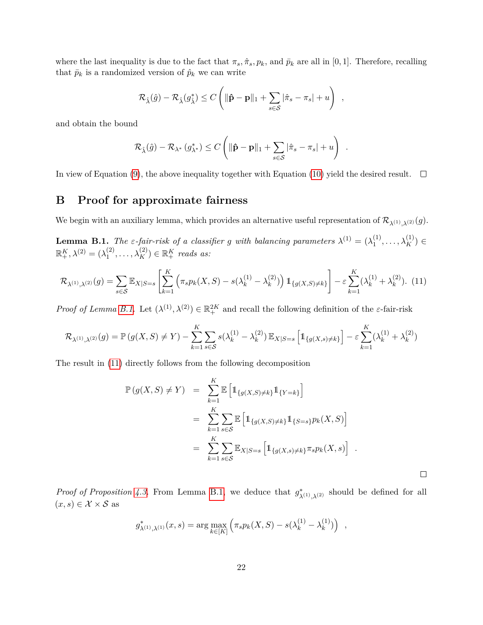where the last inequality is due to the fact that  $\pi_s$ ,  $\hat{\pi}_s$ ,  $p_k$ , and  $\bar{p}_k$  are all in [0, 1]. Therefore, recalling that  $\bar{p}_k$  is a randomized version of  $\hat{p}_k$  we can write

$$
\mathcal{R}_{\hat{\lambda}}(\hat{g}) - \mathcal{R}_{\hat{\lambda}}(g_{\hat{\lambda}}^*) \leq C \left( \|\hat{\mathbf{p}} - \mathbf{p}\|_1 + \sum_{s \in \mathcal{S}} |\hat{\pi}_s - \pi_s| + u \right) ,
$$

and obtain the bound

<span id="page-21-1"></span>
$$
\mathcal{R}_{\hat{\lambda}}(\hat{g}) - \mathcal{R}_{\lambda^*} (g_{\lambda^*}^*) \leq C \left( \|\hat{\mathbf{p}} - \mathbf{p}\|_1 + \sum_{s \in \mathcal{S}} |\hat{\pi}_s - \pi_s| + u \right) .
$$

In view of Equation [\(9\)](#page-20-0), the above inequality together with Equation [\(10\)](#page-20-1) yield the desired result.  $\Box$ 

## **B Proof for approximate fairness**

We begin with an auxiliary lemma, which provides an alternative useful representation of  $\mathcal{R}_{\lambda^{(1)},\lambda^{(2)}}(g)$ .

<span id="page-21-0"></span>**Lemma B.1.** *The ε*-fair-risk of a classifier g with balancing parameters  $\lambda^{(1)} = (\lambda_1^{(1)})$  $\lambda_1^{(1)}, \ldots, \lambda_K^{(1)}$ )  $\in$  $\mathbb{R}^K_+, \lambda^{(2)}=(\lambda^{(2)}_1)$  $\lambda_1^{(2)}, \ldots, \lambda_K^{(2)}$   $\in \mathbb{R}_+^K$  *reads as:* 

$$
\mathcal{R}_{\lambda^{(1)},\lambda^{(2)}}(g) = \sum_{s \in \mathcal{S}} \mathbb{E}_{X|S=s} \left[ \sum_{k=1}^{K} \left( \pi_s p_k(X, S) - s(\lambda_k^{(1)} - \lambda_k^{(2)}) \right) \mathbb{1}_{\{g(X, S) \neq k\}} \right] - \varepsilon \sum_{k=1}^{K} (\lambda_k^{(1)} + \lambda_k^{(2)}) \tag{11}
$$

*Proof of Lemma [B.1.](#page-21-0)* Let  $(\lambda^{(1)}, \lambda^{(2)}) \in \mathbb{R}^{2K}_+$  and recall the following definition of the *ε*-fair-risk

$$
\mathcal{R}_{\lambda^{(1)},\lambda^{(2)}}(g) = \mathbb{P}\left(g(X,S) \neq Y\right) - \sum_{k=1}^{K} \sum_{s \in \mathcal{S}} s(\lambda_k^{(1)} - \lambda_k^{(2)}) \mathbb{E}_{X|S=s} \left[\mathbb{1}_{\{g(X,s) \neq k\}}\right] - \varepsilon \sum_{k=1}^{K} (\lambda_k^{(1)} + \lambda_k^{(2)})
$$

The result in [\(11\)](#page-21-1) directly follows from the following decomposition

$$
\mathbb{P}(g(X, S) \neq Y) = \sum_{k=1}^{K} \mathbb{E} \left[ \mathbb{1}_{\{g(X, S) \neq k\}} \mathbb{1}_{\{Y = k\}} \right] \n= \sum_{k=1}^{K} \sum_{s \in S} \mathbb{E} \left[ \mathbb{1}_{\{g(X, S) \neq k\}} \mathbb{1}_{\{S = s\}} p_k(X, S) \right] \n= \sum_{k=1}^{K} \sum_{s \in S} \mathbb{E}_{X|S=s} \left[ \mathbb{1}_{\{g(X, s) \neq k\}} \pi_s p_k(X, s) \right] .
$$

 $\Box$ 

*Proof of Proposition [4.3.](#page-7-2)* From Lemma [B.1,](#page-21-0) we deduce that  $g^*_{\lambda^{(1)},\lambda^{(2)}}$  should be defined for all  $(x, s) \in \mathcal{X} \times \mathcal{S}$  as

$$
g_{\lambda^{(1)},\lambda^{(1)}}^*(x,s) = \arg \max_{k \in [K]} \left( \pi_s p_k(X, S) - s(\lambda_k^{(1)} - \lambda_k^{(1)}) \right) ,
$$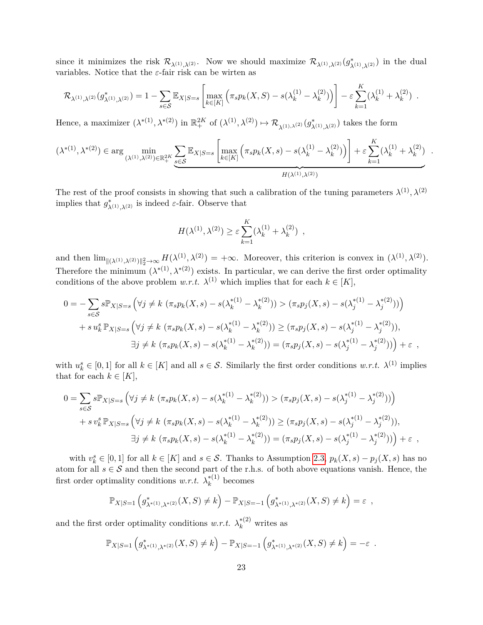since it minimizes the risk  $\mathcal{R}_{\lambda^{(1)},\lambda^{(2)}}$ . Now we should maximize  $\mathcal{R}_{\lambda^{(1)},\lambda^{(2)}}(g_{\lambda^{(1)},\lambda^{(2)}}^*)$  in the dual variables. Notice that the *ε*-fair risk can be wirten as

$$
\mathcal{R}_{\lambda^{(1)},\lambda^{(2)}}(g_{\lambda^{(1)},\lambda^{(2)}}^*) = 1 - \sum_{s \in \mathcal{S}} \mathbb{E}_{X|S=s} \left[ \max_{k \in [K]} \left( \pi_s p_k(X,S) - s(\lambda_k^{(1)} - \lambda_k^{(2)}) \right) \right] - \varepsilon \sum_{k=1}^K (\lambda_k^{(1)} + \lambda_k^{(2)}) .
$$

Hence, a maximizer  $(\lambda^{*(1)}, \lambda^{*(2)})$  in  $\mathbb{R}^{2K}_+$  of  $(\lambda^{(1)}, \lambda^{(2)}) \mapsto \mathcal{R}_{\lambda^{(1)}, \lambda^{(2)}}(g^*_{\lambda^{(1)}, \lambda^{(2)}})$  takes the form

$$
(\lambda^{*(1)},\lambda^{*(2)}) \in \arg\min_{(\lambda^{(1)},\lambda^{(2)})\in\mathbb{R}_+^{2K}} \underbrace{\sum_{s\in\mathcal{S}}\mathbb{E}_{X|S=s}\left[\max_{k\in[K]}\left(\pi_s p_k(X,s)-s(\lambda_k^{(1)}-\lambda_k^{(2)})\right)\right]+\varepsilon \sum_{k=1}^K(\lambda_k^{(1)}+\lambda_k^{(2)})}{H(\lambda^{(1)},\lambda^{(2)})}
$$

*.*

The rest of the proof consists in showing that such a calibration of the tuning parameters  $\lambda^{(1)}$ ,  $\lambda^{(2)}$ implies that  $g^*_{\lambda^{(1)},\lambda^{(2)}}$  is indeed *ε*-fair. Observe that

$$
H(\lambda^{(1)}, \lambda^{(2)}) \ge \varepsilon \sum_{k=1}^K (\lambda_k^{(1)} + \lambda_k^{(2)}) ,
$$

and then  $\lim_{\|( \lambda^{(1)}, \lambda^{(2)}) \|_2^2 \to \infty} H(\lambda^{(1)}, \lambda^{(2)}) = +\infty$ . Moreover, this criterion is convex in  $(\lambda^{(1)}, \lambda^{(2)})$ . Therefore the minimum  $(\lambda^{*(1)}, \lambda^{*(2)})$  exists. In particular, we can derive the first order optimality conditions of the above problem *w.r.t.*  $\lambda^{(1)}$  which implies that for each  $k \in [K]$ ,

$$
0 = -\sum_{s \in S} s \mathbb{P}_{X|S=s} \left( \forall j \neq k \left( \pi_s p_k(X,s) - s(\lambda_k^{*(1)} - \lambda_k^{*(2)}) \right) > (\pi_s p_j(X,s) - s(\lambda_j^{*(1)} - \lambda_j^{*(2)})) \right) + s u_k^s \mathbb{P}_{X|S=s} \left( \forall j \neq k \left( \pi_s p_k(X,s) - s(\lambda_k^{*(1)} - \lambda_k^{*(2)}) \right) \ge (\pi_s p_j(X,s) - s(\lambda_j^{*(1)} - \lambda_j^{*(2)})), \exists j \neq k \left( \pi_s p_k(X,s) - s(\lambda_k^{*(1)} - \lambda_k^{*(2)}) \right) = (\pi_s p_j(X,s) - s(\lambda_j^{*(1)} - \lambda_j^{*(2)})) \Big) + \varepsilon,
$$

with  $u_k^s \in [0,1]$  for all  $k \in [K]$  and all  $s \in \mathcal{S}$ . Similarly the first order conditions  $w.r.t. \lambda^{(1)}$  implies that for each  $k \in [K]$ ,

$$
0 = \sum_{s \in S} s \mathbb{P}_{X|S=s} \left( \forall j \neq k \ (\pi_s p_k(X, s) - s(\lambda_k^{*(1)} - \lambda_k^{*(2)})) > (\pi_s p_j(X, s) - s(\lambda_j^{*(1)} - \lambda_j^{*(2)})) \right)
$$
  
+ 
$$
s v_k^s \mathbb{P}_{X|S=s} \left( \forall j \neq k \ (\pi_s p_k(X, s) - s(\lambda_k^{*(1)} - \lambda_k^{*(2)})) \ge (\pi_s p_j(X, s) - s(\lambda_j^{*(1)} - \lambda_j^{*(2)})),
$$
  

$$
\exists j \neq k \ (\pi_s p_k(X, s) - s(\lambda_k^{*(1)} - \lambda_k^{*(2)})) = (\pi_s p_j(X, s) - s(\lambda_j^{*(1)} - \lambda_j^{*(2)})) + \varepsilon,
$$

with  $v_k^s \in [0,1]$  for all  $k \in [K]$  and  $s \in \mathcal{S}$ . Thanks to Assumption [2.3,](#page-3-0)  $p_k(X,s) - p_j(X,s)$  has no atom for all  $s \in S$  and then the second part of the r.h.s. of both above equations vanish. Hence, the first order optimality conditions *w.r.t.*  $\lambda_k^{*(1)}$  $k^{(1)}$  becomes

$$
\mathbb{P}_{X|S=1}\left(g_{\lambda^{*(1)},\lambda^{*(2)}}^{*}(X,S)\neq k\right)-\mathbb{P}_{X|S=-1}\left(g_{\lambda^{*(1)},\lambda^{*(2)}}^{*}(X,S)\neq k\right)=\varepsilon ,
$$

and the first order optimality conditions  $w.r.t. \lambda_k^{*(2)}$  writes as

$$
\mathbb{P}_{X|S=1}\left(g_{\lambda^{*(1)},\lambda^{*(2)}}^{*}(X,S)\neq k\right)-\mathbb{P}_{X|S=-1}\left(g_{\lambda^{*(1)},\lambda^{*(2)}}^{*}(X,S)\neq k\right)=-\varepsilon.
$$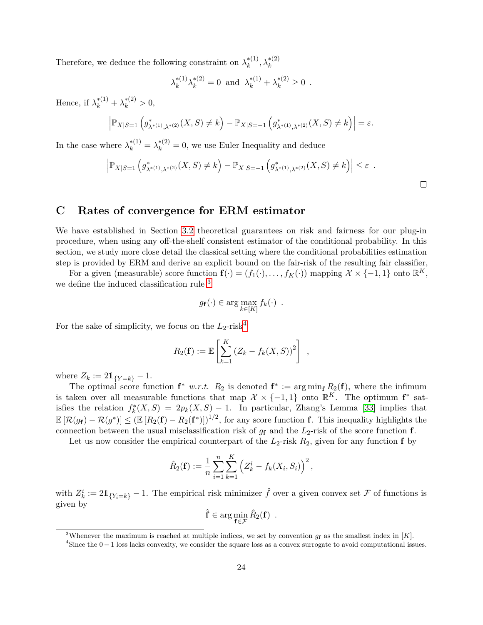Therefore, we deduce the following constraint on  $\lambda_k^{*(1)}$  $\lambda_k^{*(1)}, \lambda_k^{*(2)}$ 

$$
\lambda_k^{*(1)} \lambda_k^{*(2)} = 0 \text{ and } \lambda_k^{*(1)} + \lambda_k^{*(2)} \ge 0.
$$

Hence, if  $\lambda_k^{*(1)} + \lambda_k^{*(2)} > 0$ ,

$$
\left| \mathbb{P}_{X|S=1} \left( g^*_{\lambda^{*(1)}, \lambda^{*(2)}}(X, S) \neq k \right) - \mathbb{P}_{X|S=-1} \left( g^*_{\lambda^{*(1)}, \lambda^{*(2)}}(X, S) \neq k \right) \right| = \varepsilon.
$$

In the case where  $\lambda_k^{*(1)} = \lambda_k^{*(2)} = 0$ , we use Euler Inequality and deduce

$$
\left| \mathbb{P}_{X|S=1} \left( g_{\lambda^{*(1)}, \lambda^{*(2)}}^*(X, S) \neq k \right) - \mathbb{P}_{X|S=-1} \left( g_{\lambda^{*(1)}, \lambda^{*(2)}}^*(X, S) \neq k \right) \right| \leq \varepsilon \quad .
$$

### <span id="page-23-0"></span>**C Rates of convergence for ERM estimator**

We have established in Section [3.2](#page-5-0) theoretical guarantees on risk and fairness for our plug-in procedure, when using any off-the-shelf consistent estimator of the conditional probability. In this section, we study more close detail the classical setting where the conditional probabilities estimation step is provided by ERM and derive an explicit bound on the fair-risk of the resulting fair classifier,

For a given (measurable) score function  $f(\cdot) = (f_1(\cdot), \ldots, f_K(\cdot))$  mapping  $\mathcal{X} \times \{-1, 1\}$  onto  $\mathbb{R}^K$ , we define the induced classification rule [3](#page-23-1)

$$
g_f(\cdot) \in \arg\max_{k \in [K]} f_k(\cdot) .
$$

For the sake of simplicity, we focus on the  $L_2$ -risk<sup>[4](#page-23-2)</sup>

$$
R_2(\mathbf{f}) := \mathbb{E}\left[\sum_{k=1}^K (Z_k - f_k(X, S))^2\right],
$$

where  $Z_k := 21_{\{Y=k\}} - 1$ .

The optimal score function  $f^*$  *w.r.t.*  $R_2$  is denoted  $f^* := \arg \min_f R_2(f)$ , where the infimum is taken over all measurable functions that map  $\mathcal{X} \times \{-1,1\}$  onto  $\mathbb{R}^K$ . The optimum  $f^*$  satisfies the relation  $f_k^*(X, S) = 2p_k(X, S) - 1$ . In particular, Zhang's Lemma [\[33\]](#page-16-0) implies that  $\mathbb{E}[\mathcal{R}(g_{\mathbf{f}}) - \mathcal{R}(g^*)] \leq (\mathbb{E}[R_2(\mathbf{f}) - R_2(\mathbf{f}^*)])^{1/2}$ , for any score function **f**. This inequality highlights the connection between the usual misclassification risk of  $g_{\mathbf{f}}$  and the  $L_2$ -risk of the score function **f**.

Let us now consider the empirical counterpart of the  $L_2$ -risk  $R_2$ , given for any function **f** by

$$
\hat{R}_2(\mathbf{f}) := \frac{1}{n} \sum_{i=1}^n \sum_{k=1}^K \left( Z_k^i - f_k(X_i, S_i) \right)^2,
$$

with  $Z_k^i := 2\mathbb{1}_{\{Y_i = k\}} - 1$ . The empirical risk minimizer  $\hat{f}$  over a given convex set  $\mathcal F$  of functions is given by

$$
\hat{\mathbf{f}} \in \arg\min_{\mathbf{f} \in \mathcal{F}} \hat{R}_2(\mathbf{f}) \enspace .
$$

<span id="page-23-1"></span><sup>3</sup>Whenever the maximum is reached at multiple indices, we set by convention  $g_{\mathbf{f}}$  as the smallest index in [*K*].

<span id="page-23-2"></span> $4$ Since the  $0-1$  loss lacks convexity, we consider the square loss as a convex surrogate to avoid computational issues.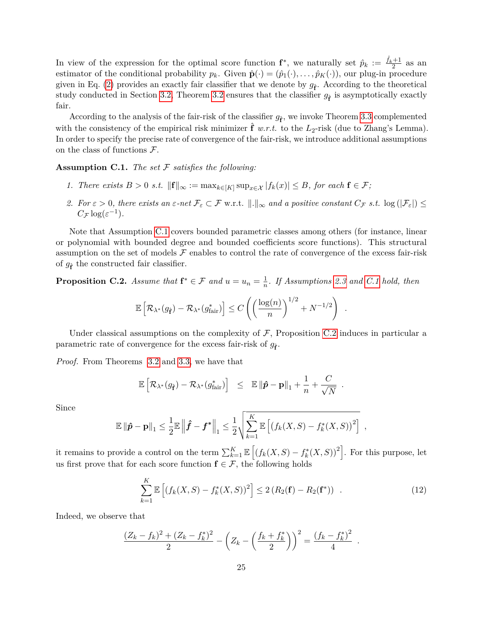In view of the expression for the optimal score function  $f^*$ , we naturally set  $\hat{p}_k := \frac{\hat{f}_k + 1}{2}$  as an estimator of the conditional probability  $p_k$ . Given  $\hat{\mathbf{p}}(\cdot) = (\hat{p}_1(\cdot), \dots, \hat{p}_K(\cdot))$ , our plug-in procedure given in Eq. [\(2\)](#page-4-2) provides an exactly fair classifier that we denote by  $g_{\hat{f}}$ . According to the theoretical study conducted in Section [3.2,](#page-5-0) Theorem [3.2](#page-5-2) ensures that the classifier  $g_{\hat{\mathbf{f}}}$  is asymptotically exactly fair.

According to the analysis of the fair-risk of the classifier  $g_{\hat{f}}$ , we invoke Theorem [3.3](#page-5-1) complemented with the consistency of the empirical risk minimizer  $\hat{\mathbf{f}}$  *w.r.t.* to the  $L_2$ -risk (due to Zhang's Lemma). In order to specify the precise rate of convergence of the fair-risk, we introduce additional assumptions on the class of functions  $\mathcal{F}$ .

<span id="page-24-0"></span>**Assumption C.1.** *The set* F *satisfies the following:*

- *1. There exists B* > 0 *s.t.*  $||\mathbf{f}||_{\infty} := \max_{k \in [K]} \sup_{x \in \mathcal{X}} |f_k(x)| \leq B$ , for each **f** ∈ *F*;
- *2. For*  $\varepsilon > 0$ *, there exists an*  $\varepsilon$ *-net*  $\mathcal{F}_{\varepsilon} \subset \mathcal{F}$  w.r.t.  $\|.\|_{\infty}$  *and a positive constant*  $C_{\mathcal{F}}$  *s.t.* log  $(|\mathcal{F}_{\varepsilon}|) \leq$  $C_{\mathcal{F}} \log(\varepsilon^{-1})$ *.*

Note that Assumption [C.1](#page-24-0) covers bounded parametric classes among others (for instance, linear or polynomial with bounded degree and bounded coefficients score functions). This structural assumption on the set of models  $\mathcal F$  enables to control the rate of convergence of the excess fair-risk of  $g_{\hat{\mathbf{f}}}$  the constructed fair classifier.

<span id="page-24-1"></span>**Proposition C.2.** *Assume that*  $f^* \in \mathcal{F}$  *and*  $u = u_n = \frac{1}{n}$  $\frac{1}{n}$ *. If Assumptions [2.3](#page-3-0) and [C.1](#page-24-0) hold, then* 

$$
\mathbb{E}\left[\mathcal{R}_{\lambda^*}(g_{\hat{\mathbf{f}}}) - \mathcal{R}_{\lambda^*}(g_{\text{fair}}^*)\right] \le C\left(\left(\frac{\log(n)}{n}\right)^{1/2} + N^{-1/2}\right)
$$

Under classical assumptions on the complexity of  $F$ , Proposition [C.2](#page-24-1) induces in particular a parametric rate of convergence for the excess fair-risk of  $g_{\hat{\mathbf{f}}}$ .

*Proof.* From Theorems [3.2](#page-5-2) and [3.3,](#page-5-1) we have that

$$
\mathbb{E}\left[\mathcal{R}_{\lambda^*}(g_{\hat{\mathbf{f}}}) - \mathcal{R}_{\lambda^*}(g_{\text{fair}}^*)\right] \leq \mathbb{E}\left\|\hat{\mathbf{p}} - \mathbf{p}\right\|_1 + \frac{1}{n} + \frac{C}{\sqrt{N}}.
$$

Since

$$
\mathbb{E}\left\|\hat{\boldsymbol{p}}-\mathbf{p}\right\|_{1} \leq \frac{1}{2}\mathbb{E}\left\|\hat{\boldsymbol{f}}-\boldsymbol{f}^{*}\right\|_{1} \leq \frac{1}{2}\sqrt{\sum_{k=1}^{K}\mathbb{E}\left[\left(f_{k}(X,S)-f_{k}^{*}(X,S)\right)^{2}\right]} \enspace ,
$$

it remains to provide a control on the term  $\sum_{k=1}^{K} \mathbb{E} \left[ \left( f_k(X, S) - f_k^*(X, S) \right)^2 \right]$ . For this purpose, let us first prove that for each score function  $f \in \mathcal{F}$ , the following holds

$$
\sum_{k=1}^{K} \mathbb{E}\left[ \left( f_k(X, S) - f_k^*(X, S) \right)^2 \right] \le 2 \left( R_2(\mathbf{f}) - R_2(\mathbf{f}^*) \right) . \tag{12}
$$

<span id="page-24-2"></span>*.*

Indeed, we observe that

$$
\frac{(Z_k - f_k)^2 + (Z_k - f_k^*)^2}{2} - \left(Z_k - \left(\frac{f_k + f_k^*}{2}\right)\right)^2 = \frac{(f_k - f_k^*)^2}{4}.
$$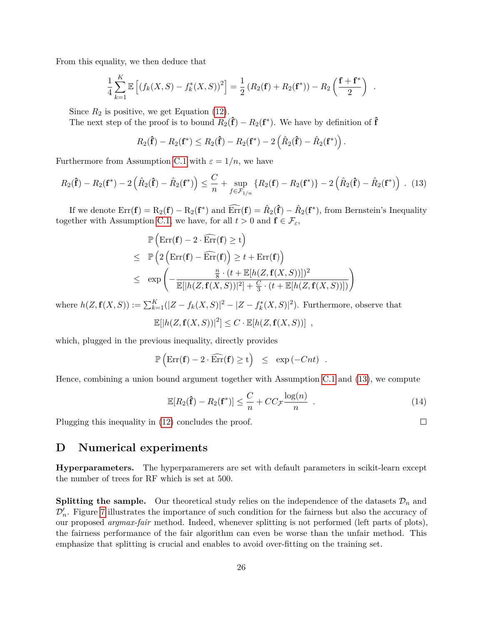From this equality, we then deduce that

$$
\frac{1}{4}\sum_{k=1}^K \mathbb{E}\left[ (f_k(X, S) - f_k^*(X, S))^2 \right] = \frac{1}{2} (R_2(\mathbf{f}) + R_2(\mathbf{f}^*)) - R_2\left(\frac{\mathbf{f} + \mathbf{f}^*}{2}\right).
$$

Since  $R_2$  is positive, we get Equation [\(12\)](#page-24-2).

The next step of the proof is to bound  $R_2(\hat{\mathbf{f}}) - R_2(\mathbf{f}^*)$ . We have by definition of  $\hat{\mathbf{f}}$ 

<span id="page-25-1"></span>
$$
R_2(\mathbf{\hat{f}}) - R_2(\mathbf{f}^*) \leq R_2(\mathbf{\hat{f}}) - R_2(\mathbf{f}^*) - 2\left(\hat{R}_2(\mathbf{\hat{f}}) - \hat{R}_2(\mathbf{f}^*)\right).
$$

Furthermore from Assumption [C.1](#page-24-0) with  $\varepsilon = 1/n$ , we have

$$
R_2(\mathbf{\hat{f}}) - R_2(\mathbf{f}^*) - 2\left(\hat{R}_2(\mathbf{\hat{f}}) - \hat{R}_2(\mathbf{f}^*)\right) \leq \frac{C}{n} + \sup_{f \in \mathcal{F}_{1/n}} \left\{ R_2(\mathbf{f}) - R_2(\mathbf{f}^*) \right\} - 2\left(\hat{R}_2(\mathbf{\hat{f}}) - \hat{R}_2(\mathbf{f}^*)\right) . \tag{13}
$$

If we denote  $\text{Err}(\mathbf{f}) = R_2(\mathbf{f}) - R_2(\mathbf{f}^*)$  and  $\widehat{\text{Err}}(\mathbf{f}) = \hat{R}_2(\hat{\mathbf{f}}) - \hat{R}_2(\mathbf{f}^*)$ , from Bernstein's Inequality together with Assumption [C.1,](#page-24-0) we have, for all  $t > 0$  and  $f \in \mathcal{F}_{\varepsilon}$ ,

$$
\mathbb{P}\left(\text{Err}(\mathbf{f}) - 2 \cdot \widehat{\text{Err}}(\mathbf{f}) \ge t\right)
$$
\n
$$
\leq \mathbb{P}\left(2\left(\text{Err}(\mathbf{f}) - \widehat{\text{Err}}(\mathbf{f})\right) \ge t + \text{Err}(\mathbf{f})\right)
$$
\n
$$
\leq \exp\left(-\frac{\frac{n}{8} \cdot (t + \mathbb{E}[h(Z, \mathbf{f}(X, S))])^{2}}{\mathbb{E}[|h(Z, \mathbf{f}(X, S))|^{2}] + \frac{C}{3} \cdot (t + \mathbb{E}[h(Z, \mathbf{f}(X, S))])}\right)
$$

where  $h(Z, \mathbf{f}(X, S)) := \sum_{k=1}^{K} (|Z - f_k(X, S)|^2 - |Z - f_k^*(X, S)|^2)$ . Furthermore, observe that

$$
\mathbb{E}[|h(Z, \mathbf{f}(X, S))|^2] \leq C \cdot \mathbb{E}[h(Z, \mathbf{f}(X, S))],
$$

which, plugged in the previous inequality, directly provides

$$
\mathbb{P}\left(\text{Err}(\mathbf{f}) - 2 \cdot \widehat{\text{Err}}(\mathbf{f}) \ge t\right) \le \exp(-Cnt) .
$$

Hence, combining a union bound argument together with Assumption [C.1](#page-24-0) and [\(13\)](#page-25-1), we compute

$$
\mathbb{E}[R_2(\hat{\mathbf{f}}) - R_2(\mathbf{f}^*)] \leq \frac{C}{n} + CC_{\mathcal{F}} \frac{\log(n)}{n} . \tag{14}
$$

Plugging this inequality in [\(12\)](#page-24-2) concludes the proof.

## <span id="page-25-0"></span>**D Numerical experiments**

**Hyperparameters.** The hyperparamerers are set with default parameters in scikit-learn except the number of trees for RF which is set at 500.

**Splitting the sample.** Our theoretical study relies on the independence of the datasets  $\mathcal{D}_n$  and  $\mathcal{D}'_n$ . Figure [7](#page-26-0) illustrates the importance of such condition for the fairness but also the accuracy of our proposed *argmax-fair* method. Indeed, whenever splitting is not performed (left parts of plots), the fairness performance of the fair algorithm can even be worse than the unfair method. This emphasize that splitting is crucial and enables to avoid over-fitting on the training set.

 $\Box$